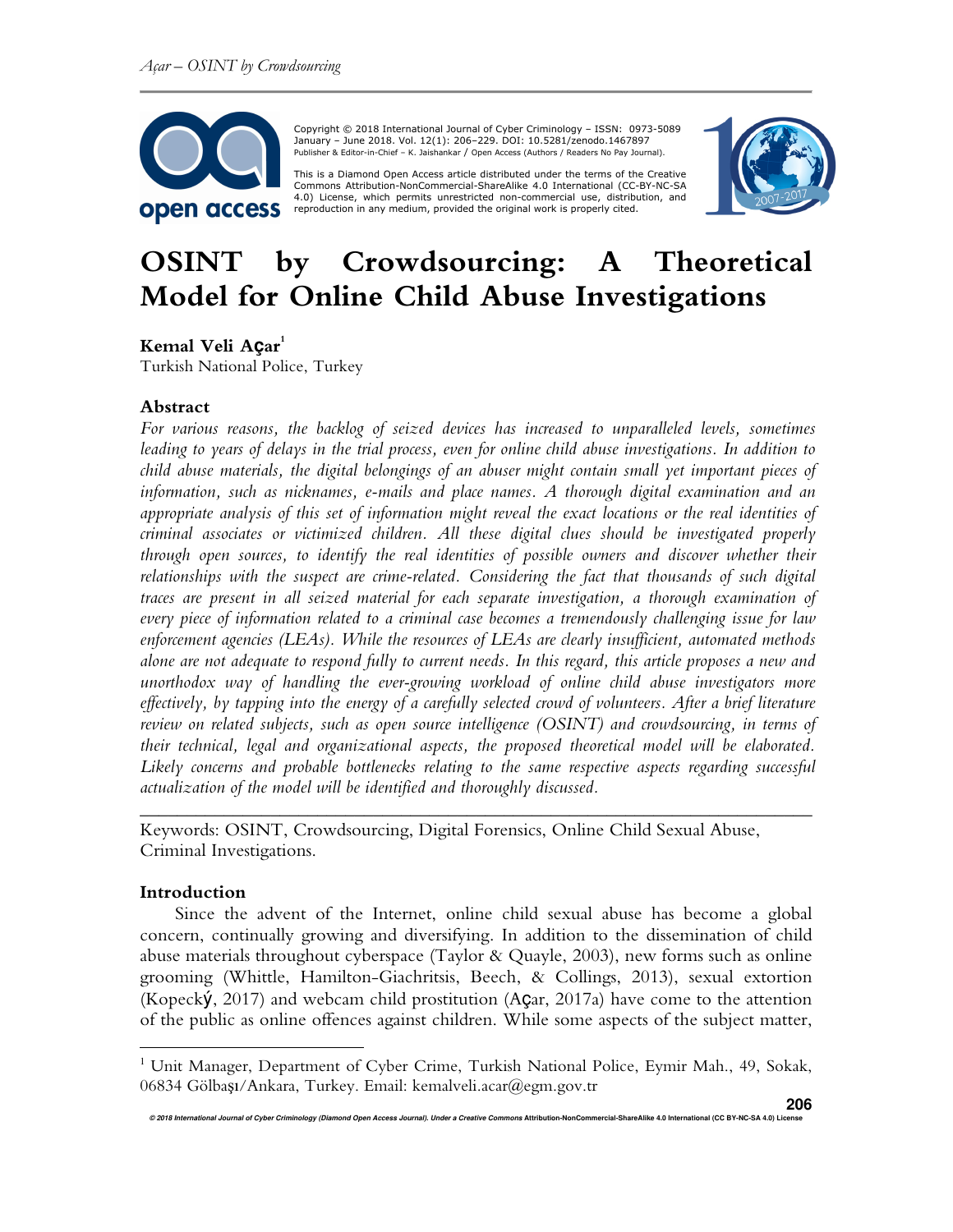

 Copyright © 2018 International Journal of Cyber Criminology – ISSN: 0973-5089 January – June 2018. Vol. 12(1): 206–229. DOI: 10.5281/zenodo.1467897 Publisher & Editor-in-Chief – K. Jaishankar / Open Access (Authors / Readers No Pay Journal).

This is a Diamond Open Access article distributed under the terms of the Creative<br>Commons Attribution-NonCommercial-ShareAlike 4.0 International (CC-BY-NC-SA 4.0) License, which permits unrestricted non-commercial use, distribution, and reproduction in any medium, provided the original work is properly cited.



# **OSINT by Crowdsourcing: A Theoretical Model for Online Child Abuse Investigations**

# **Kemal Veli Açar 1**

Turkish National Police, Turkey

### **Abstract**

*For various reasons, the backlog of seized devices has increased to unparalleled levels, sometimes leading to years of delays in the trial process, even for online child abuse investigations. In addition to child abuse materials, the digital belongings of an abuser might contain small yet important pieces of information, such as nicknames, e-mails and place names. A thorough digital examination and an appropriate analysis of this set of information might reveal the exact locations or the real identities of criminal associates or victimized children. All these digital clues should be investigated properly through open sources, to identify the real identities of possible owners and discover whether their relationships with the suspect are crime-related. Considering the fact that thousands of such digital traces are present in all seized material for each separate investigation, a thorough examination of every piece of information related to a criminal case becomes a tremendously challenging issue for law enforcement agencies (LEAs). While the resources of LEAs are clearly insufficient, automated methods alone are not adequate to respond fully to current needs. In this regard, this article proposes a new and unorthodox way of handling the ever-growing workload of online child abuse investigators more effectively, by tapping into the energy of a carefully selected crowd of volunteers. After a brief literature review on related subjects, such as open source intelligence (OSINT) and crowdsourcing, in terms of their technical, legal and organizational aspects, the proposed theoretical model will be elaborated. Likely concerns and probable bottlenecks relating to the same respective aspects regarding successful actualization of the model will be identified and thoroughly discussed.* 

Keywords: OSINT, Crowdsourcing, Digital Forensics, Online Child Sexual Abuse, Criminal Investigations.

### **Introduction**

 $\overline{a}$ 

Since the advent of the Internet, online child sexual abuse has become a global concern, continually growing and diversifying. In addition to the dissemination of child abuse materials throughout cyberspace (Taylor & Quayle, 2003), new forms such as online grooming (Whittle, Hamilton-Giachritsis, Beech, & Collings, 2013), sexual extortion (Kopecký, 2017) and webcam child prostitution (Açar, 2017a) have come to the attention of the public as online offences against children. While some aspects of the subject matter,

*\_\_\_\_\_\_\_\_\_\_\_\_\_\_\_\_\_\_\_\_\_\_\_\_\_\_\_\_\_\_\_\_\_\_\_\_\_\_\_\_\_\_\_\_\_\_\_\_\_\_\_\_\_\_\_\_\_\_\_\_\_\_\_\_\_\_\_*\_\_\_\_\_

<sup>&</sup>lt;sup>1</sup> Unit Manager, Department of Cyber Crime, Turkish National Police, Eymir Mah., 49, Sokak, 06834 Gölbaşı/Ankara, Turkey. Email: kemalveli.acar@egm.gov.tr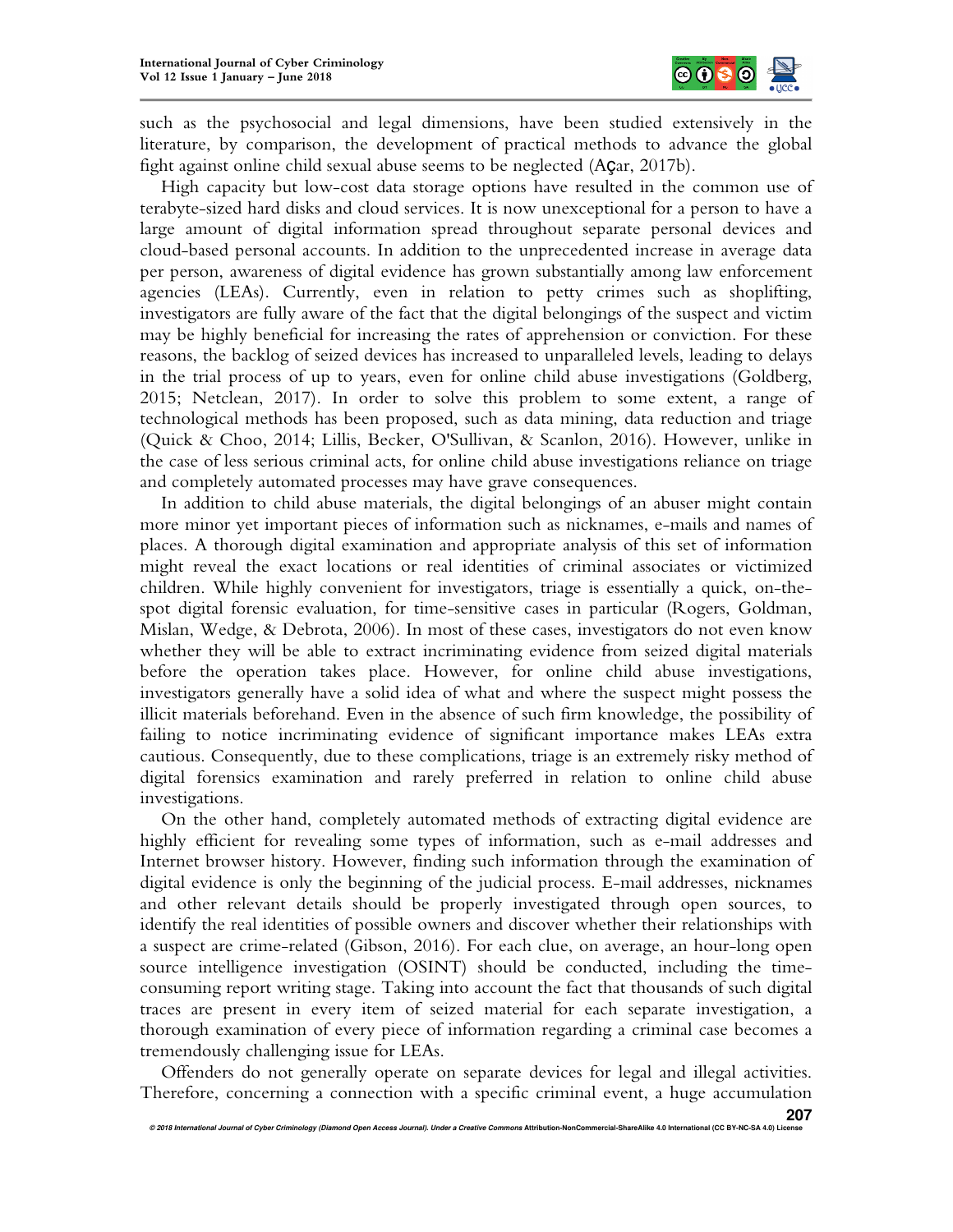

such as the psychosocial and legal dimensions, have been studied extensively in the literature, by comparison, the development of practical methods to advance the global fight against online child sexual abuse seems to be neglected (Açar, 2017b).

High capacity but low-cost data storage options have resulted in the common use of terabyte-sized hard disks and cloud services. It is now unexceptional for a person to have a large amount of digital information spread throughout separate personal devices and cloud-based personal accounts. In addition to the unprecedented increase in average data per person, awareness of digital evidence has grown substantially among law enforcement agencies (LEAs). Currently, even in relation to petty crimes such as shoplifting, investigators are fully aware of the fact that the digital belongings of the suspect and victim may be highly beneficial for increasing the rates of apprehension or conviction. For these reasons, the backlog of seized devices has increased to unparalleled levels, leading to delays in the trial process of up to years, even for online child abuse investigations (Goldberg, 2015; Netclean, 2017). In order to solve this problem to some extent, a range of technological methods has been proposed, such as data mining, data reduction and triage (Quick & Choo, 2014; Lillis, Becker, O'Sullivan, & Scanlon, 2016). However, unlike in the case of less serious criminal acts, for online child abuse investigations reliance on triage and completely automated processes may have grave consequences.

In addition to child abuse materials, the digital belongings of an abuser might contain more minor yet important pieces of information such as nicknames, e-mails and names of places. A thorough digital examination and appropriate analysis of this set of information might reveal the exact locations or real identities of criminal associates or victimized children. While highly convenient for investigators, triage is essentially a quick, on-thespot digital forensic evaluation, for time-sensitive cases in particular (Rogers, Goldman, Mislan, Wedge, & Debrota, 2006). In most of these cases, investigators do not even know whether they will be able to extract incriminating evidence from seized digital materials before the operation takes place. However, for online child abuse investigations, investigators generally have a solid idea of what and where the suspect might possess the illicit materials beforehand. Even in the absence of such firm knowledge, the possibility of failing to notice incriminating evidence of significant importance makes LEAs extra cautious. Consequently, due to these complications, triage is an extremely risky method of digital forensics examination and rarely preferred in relation to online child abuse investigations.

On the other hand, completely automated methods of extracting digital evidence are highly efficient for revealing some types of information, such as e-mail addresses and Internet browser history. However, finding such information through the examination of digital evidence is only the beginning of the judicial process. E-mail addresses, nicknames and other relevant details should be properly investigated through open sources, to identify the real identities of possible owners and discover whether their relationships with a suspect are crime-related (Gibson, 2016). For each clue, on average, an hour-long open source intelligence investigation (OSINT) should be conducted, including the timeconsuming report writing stage. Taking into account the fact that thousands of such digital traces are present in every item of seized material for each separate investigation, a thorough examination of every piece of information regarding a criminal case becomes a tremendously challenging issue for LEAs.

Offenders do not generally operate on separate devices for legal and illegal activities. Therefore, concerning a connection with a specific criminal event, a huge accumulation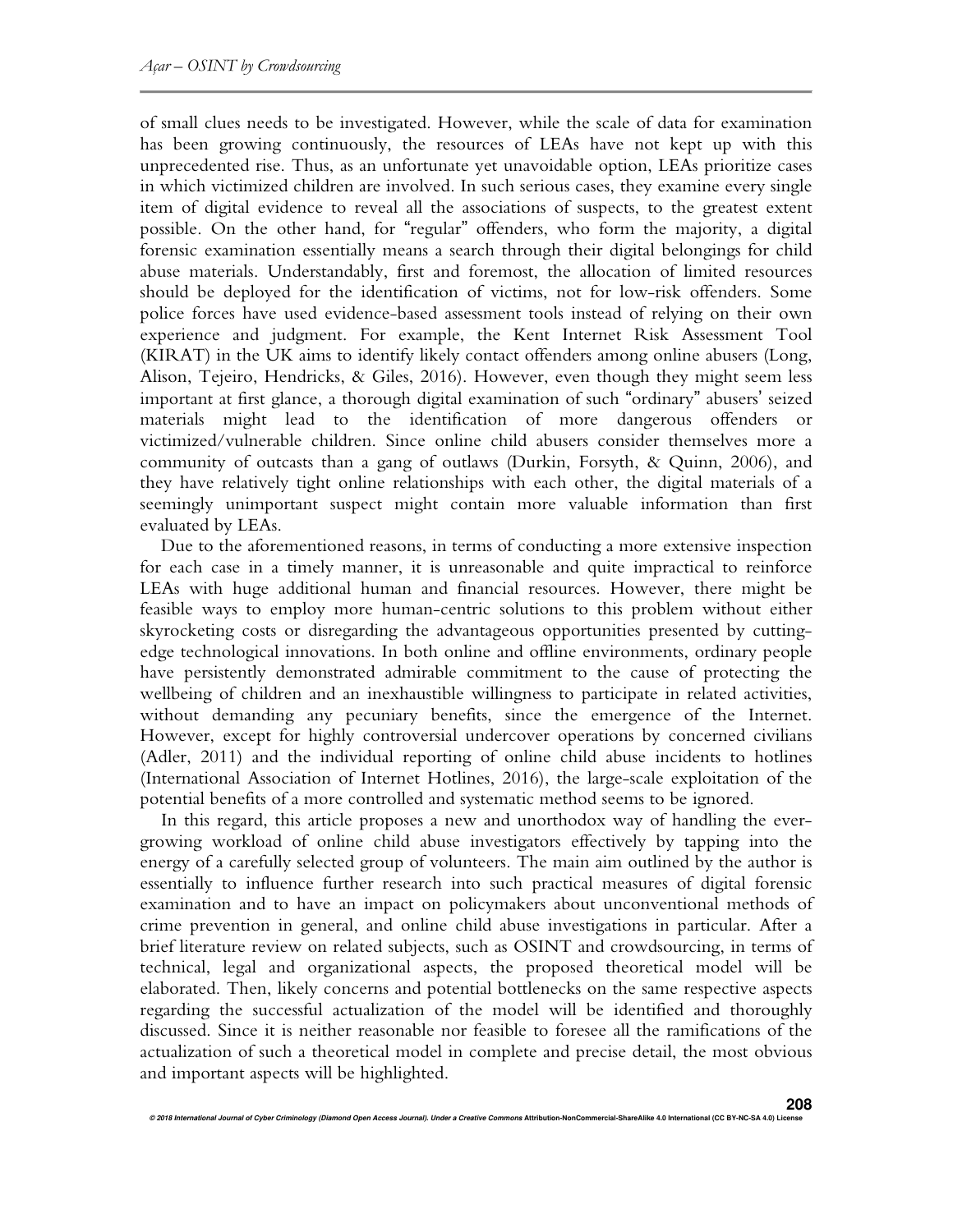of small clues needs to be investigated. However, while the scale of data for examination has been growing continuously, the resources of LEAs have not kept up with this unprecedented rise. Thus, as an unfortunate yet unavoidable option, LEAs prioritize cases in which victimized children are involved. In such serious cases, they examine every single item of digital evidence to reveal all the associations of suspects, to the greatest extent possible. On the other hand, for "regular" offenders, who form the majority, a digital forensic examination essentially means a search through their digital belongings for child abuse materials. Understandably, first and foremost, the allocation of limited resources should be deployed for the identification of victims, not for low-risk offenders. Some police forces have used evidence-based assessment tools instead of relying on their own experience and judgment. For example, the Kent Internet Risk Assessment Tool (KIRAT) in the UK aims to identify likely contact offenders among online abusers (Long, Alison, Tejeiro, Hendricks, & Giles, 2016). However, even though they might seem less important at first glance, a thorough digital examination of such "ordinary" abusers' seized materials might lead to the identification of more dangerous offenders or victimized/vulnerable children. Since online child abusers consider themselves more a community of outcasts than a gang of outlaws (Durkin, Forsyth, & Quinn, 2006), and they have relatively tight online relationships with each other, the digital materials of a seemingly unimportant suspect might contain more valuable information than first evaluated by LEAs.

Due to the aforementioned reasons, in terms of conducting a more extensive inspection for each case in a timely manner, it is unreasonable and quite impractical to reinforce LEAs with huge additional human and financial resources. However, there might be feasible ways to employ more human-centric solutions to this problem without either skyrocketing costs or disregarding the advantageous opportunities presented by cuttingedge technological innovations. In both online and offline environments, ordinary people have persistently demonstrated admirable commitment to the cause of protecting the wellbeing of children and an inexhaustible willingness to participate in related activities, without demanding any pecuniary benefits, since the emergence of the Internet. However, except for highly controversial undercover operations by concerned civilians (Adler, 2011) and the individual reporting of online child abuse incidents to hotlines (International Association of Internet Hotlines, 2016), the large-scale exploitation of the potential benefits of a more controlled and systematic method seems to be ignored.

In this regard, this article proposes a new and unorthodox way of handling the evergrowing workload of online child abuse investigators effectively by tapping into the energy of a carefully selected group of volunteers. The main aim outlined by the author is essentially to influence further research into such practical measures of digital forensic examination and to have an impact on policymakers about unconventional methods of crime prevention in general, and online child abuse investigations in particular. After a brief literature review on related subjects, such as OSINT and crowdsourcing, in terms of technical, legal and organizational aspects, the proposed theoretical model will be elaborated. Then, likely concerns and potential bottlenecks on the same respective aspects regarding the successful actualization of the model will be identified and thoroughly discussed. Since it is neither reasonable nor feasible to foresee all the ramifications of the actualization of such a theoretical model in complete and precise detail, the most obvious and important aspects will be highlighted.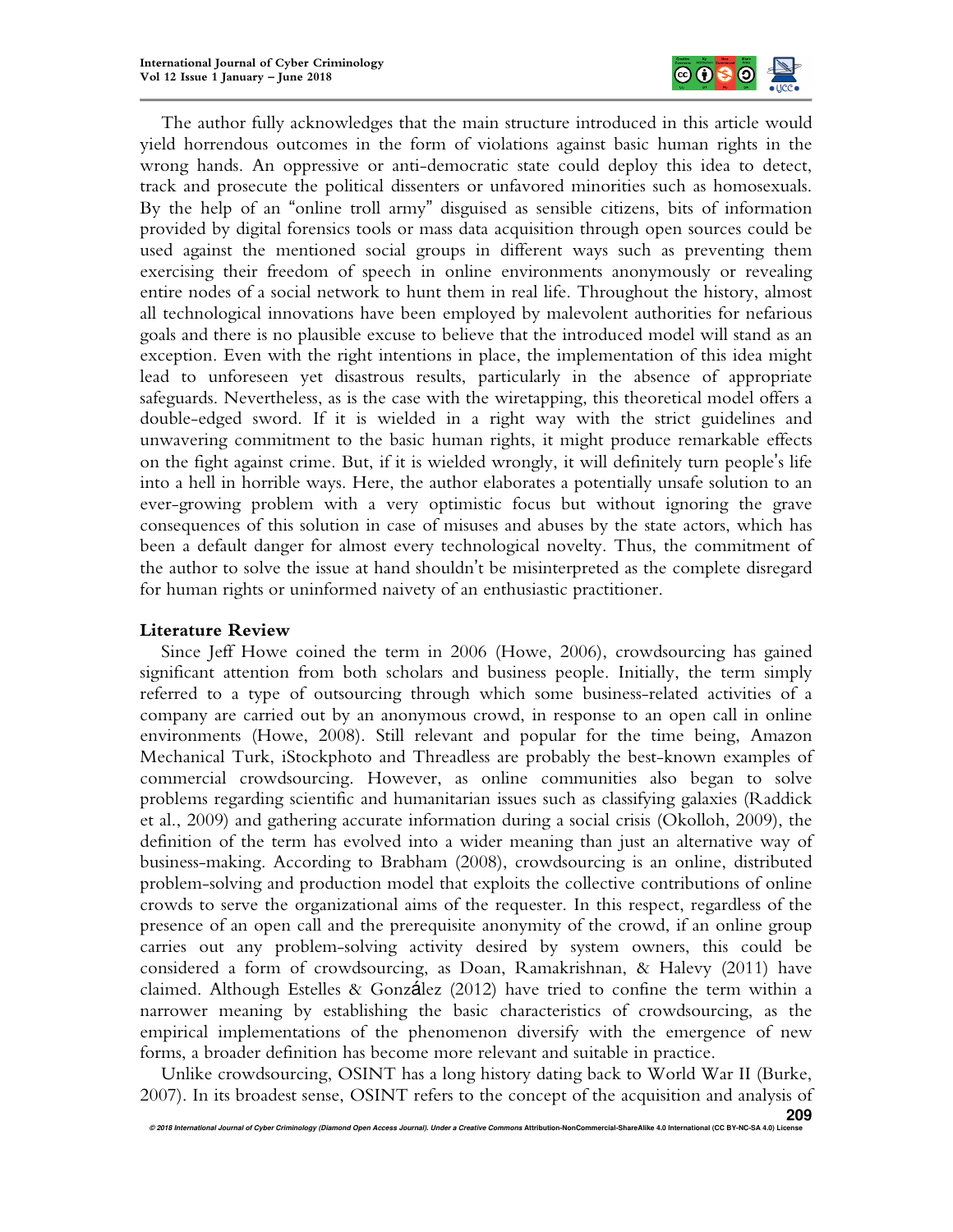

The author fully acknowledges that the main structure introduced in this article would yield horrendous outcomes in the form of violations against basic human rights in the wrong hands. An oppressive or anti-democratic state could deploy this idea to detect, track and prosecute the political dissenters or unfavored minorities such as homosexuals. By the help of an "online troll army" disguised as sensible citizens, bits of information provided by digital forensics tools or mass data acquisition through open sources could be used against the mentioned social groups in different ways such as preventing them exercising their freedom of speech in online environments anonymously or revealing entire nodes of a social network to hunt them in real life. Throughout the history, almost all technological innovations have been employed by malevolent authorities for nefarious goals and there is no plausible excuse to believe that the introduced model will stand as an exception. Even with the right intentions in place, the implementation of this idea might lead to unforeseen yet disastrous results, particularly in the absence of appropriate safeguards. Nevertheless, as is the case with the wiretapping, this theoretical model offers a double-edged sword. If it is wielded in a right way with the strict guidelines and unwavering commitment to the basic human rights, it might produce remarkable effects on the fight against crime. But, if it is wielded wrongly, it will definitely turn people's life into a hell in horrible ways. Here, the author elaborates a potentially unsafe solution to an ever-growing problem with a very optimistic focus but without ignoring the grave consequences of this solution in case of misuses and abuses by the state actors, which has been a default danger for almost every technological novelty. Thus, the commitment of the author to solve the issue at hand shouldn't be misinterpreted as the complete disregard for human rights or uninformed naivety of an enthusiastic practitioner.

# **Literature Review**

Since Jeff Howe coined the term in 2006 (Howe, 2006), crowdsourcing has gained significant attention from both scholars and business people. Initially, the term simply referred to a type of outsourcing through which some business-related activities of a company are carried out by an anonymous crowd, in response to an open call in online environments (Howe, 2008). Still relevant and popular for the time being, Amazon Mechanical Turk, iStockphoto and Threadless are probably the best-known examples of commercial crowdsourcing. However, as online communities also began to solve problems regarding scientific and humanitarian issues such as classifying galaxies (Raddick et al., 2009) and gathering accurate information during a social crisis (Okolloh, 2009), the definition of the term has evolved into a wider meaning than just an alternative way of business-making. According to Brabham (2008), crowdsourcing is an online, distributed problem-solving and production model that exploits the collective contributions of online crowds to serve the organizational aims of the requester. In this respect, regardless of the presence of an open call and the prerequisite anonymity of the crowd, if an online group carries out any problem-solving activity desired by system owners, this could be considered a form of crowdsourcing, as Doan, Ramakrishnan, & Halevy (2011) have claimed. Although Estelles & González  $(2012)$  have tried to confine the term within a narrower meaning by establishing the basic characteristics of crowdsourcing, as the empirical implementations of the phenomenon diversify with the emergence of new forms, a broader definition has become more relevant and suitable in practice.

Unlike crowdsourcing, OSINT has a long history dating back to World War II (Burke, 2007). In its broadest sense, OSINT refers to the concept of the acquisition and analysis of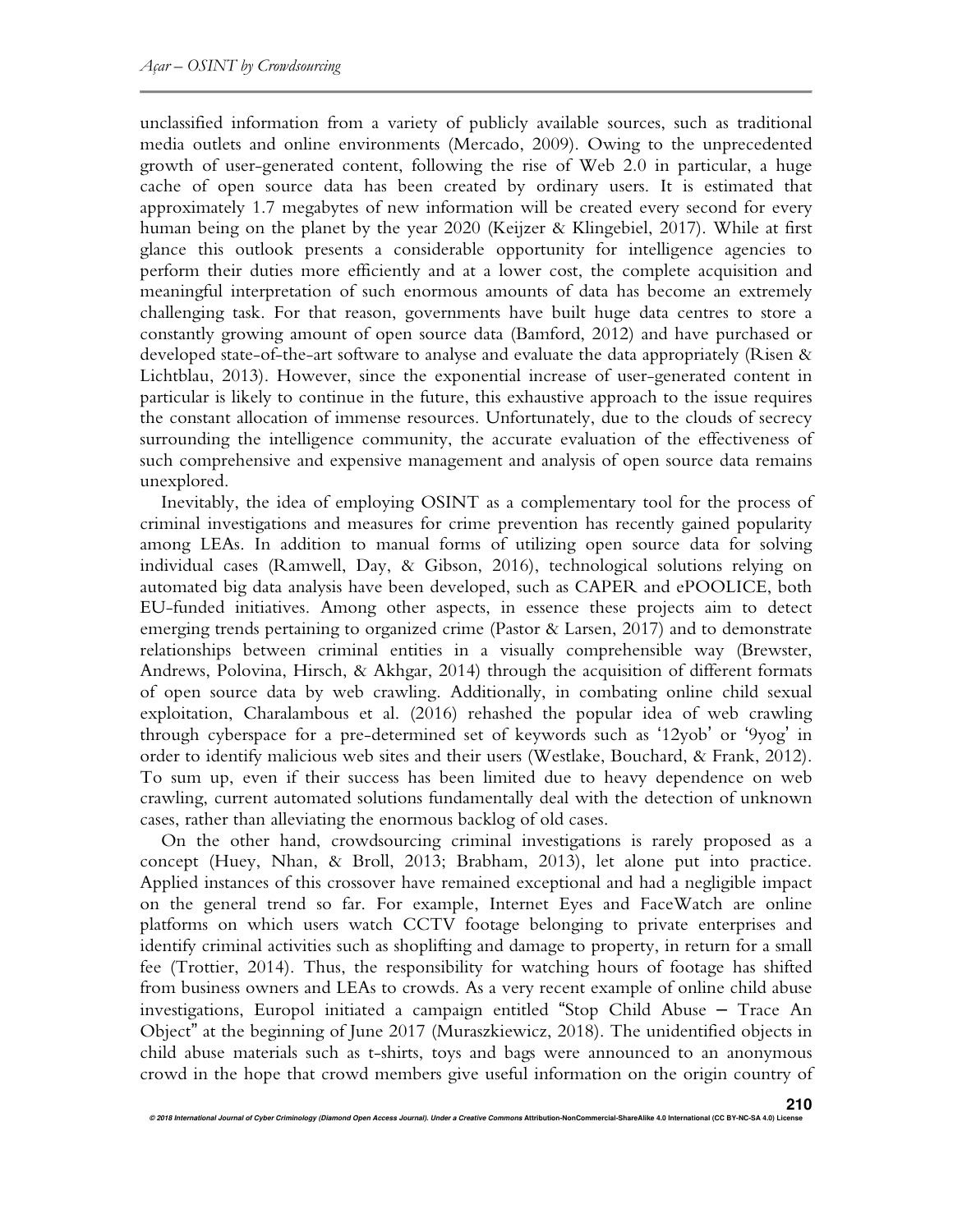unclassified information from a variety of publicly available sources, such as traditional media outlets and online environments (Mercado, 2009). Owing to the unprecedented growth of user-generated content, following the rise of Web 2.0 in particular, a huge cache of open source data has been created by ordinary users. It is estimated that approximately 1.7 megabytes of new information will be created every second for every human being on the planet by the year 2020 (Keijzer & Klingebiel, 2017). While at first glance this outlook presents a considerable opportunity for intelligence agencies to perform their duties more efficiently and at a lower cost, the complete acquisition and meaningful interpretation of such enormous amounts of data has become an extremely challenging task. For that reason, governments have built huge data centres to store a constantly growing amount of open source data (Bamford, 2012) and have purchased or developed state-of-the-art software to analyse and evaluate the data appropriately (Risen & Lichtblau, 2013). However, since the exponential increase of user-generated content in particular is likely to continue in the future, this exhaustive approach to the issue requires the constant allocation of immense resources. Unfortunately, due to the clouds of secrecy surrounding the intelligence community, the accurate evaluation of the effectiveness of such comprehensive and expensive management and analysis of open source data remains unexplored.

Inevitably, the idea of employing OSINT as a complementary tool for the process of criminal investigations and measures for crime prevention has recently gained popularity among LEAs. In addition to manual forms of utilizing open source data for solving individual cases (Ramwell, Day, & Gibson, 2016), technological solutions relying on automated big data analysis have been developed, such as CAPER and ePOOLICE, both EU-funded initiatives. Among other aspects, in essence these projects aim to detect emerging trends pertaining to organized crime (Pastor & Larsen, 2017) and to demonstrate relationships between criminal entities in a visually comprehensible way (Brewster, Andrews, Polovina, Hirsch, & Akhgar, 2014) through the acquisition of different formats of open source data by web crawling. Additionally, in combating online child sexual exploitation, Charalambous et al. (2016) rehashed the popular idea of web crawling through cyberspace for a pre-determined set of keywords such as '12yob' or '9yog' in order to identify malicious web sites and their users (Westlake, Bouchard, & Frank, 2012). To sum up, even if their success has been limited due to heavy dependence on web crawling, current automated solutions fundamentally deal with the detection of unknown cases, rather than alleviating the enormous backlog of old cases.

On the other hand, crowdsourcing criminal investigations is rarely proposed as a concept (Huey, Nhan, & Broll, 2013; Brabham, 2013), let alone put into practice. Applied instances of this crossover have remained exceptional and had a negligible impact on the general trend so far. For example, Internet Eyes and FaceWatch are online platforms on which users watch CCTV footage belonging to private enterprises and identify criminal activities such as shoplifting and damage to property, in return for a small fee (Trottier, 2014). Thus, the responsibility for watching hours of footage has shifted from business owners and LEAs to crowds. As a very recent example of online child abuse investigations, Europol initiated a campaign entitled "Stop Child Abuse – Trace An Object" at the beginning of June 2017 (Muraszkiewicz, 2018). The unidentified objects in child abuse materials such as t-shirts, toys and bags were announced to an anonymous crowd in the hope that crowd members give useful information on the origin country of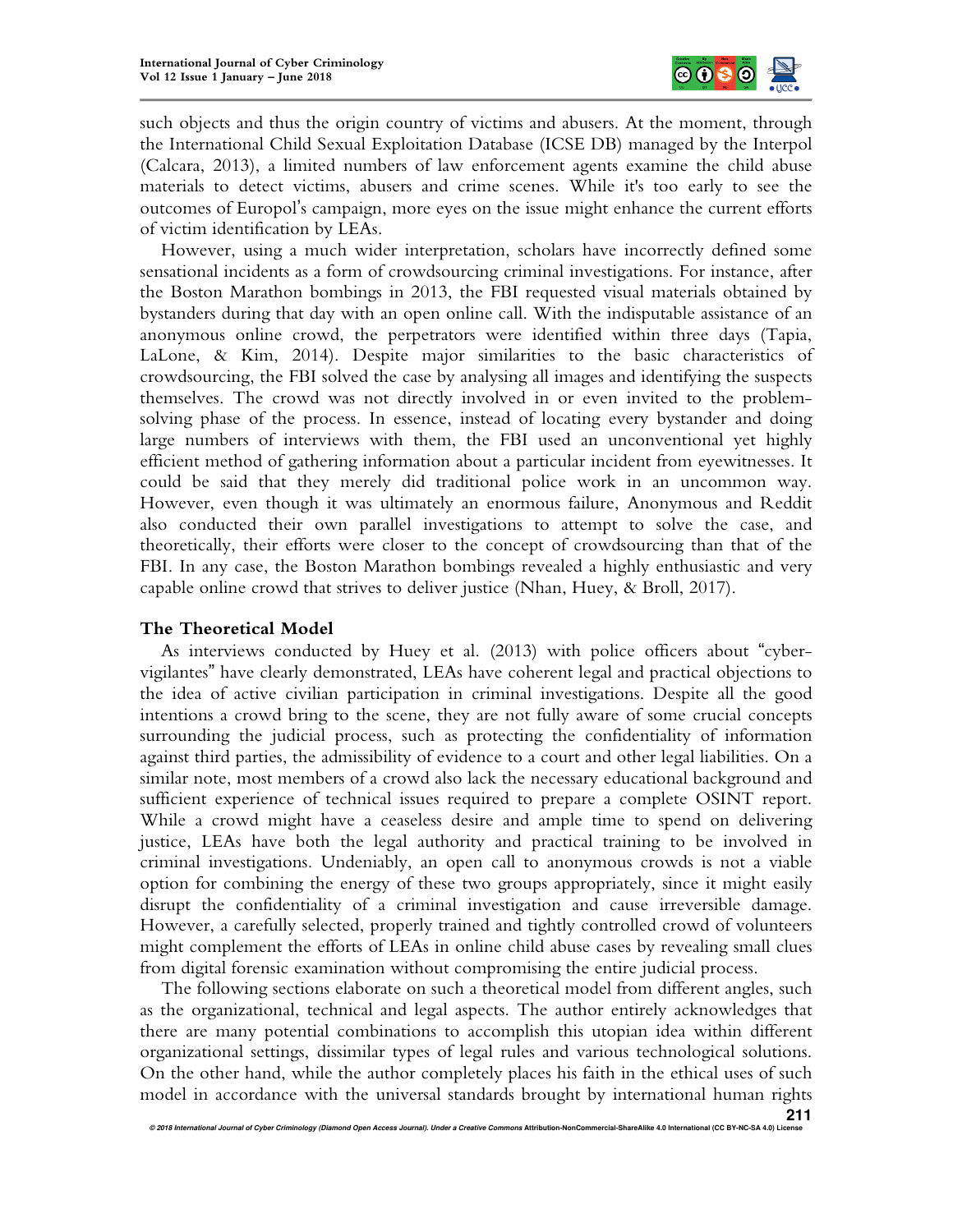

such objects and thus the origin country of victims and abusers. At the moment, through the International Child Sexual Exploitation Database (ICSE DB) managed by the Interpol (Calcara, 2013), a limited numbers of law enforcement agents examine the child abuse materials to detect victims, abusers and crime scenes. While it's too early to see the outcomes of Europol's campaign, more eyes on the issue might enhance the current efforts of victim identification by LEAs.

However, using a much wider interpretation, scholars have incorrectly defined some sensational incidents as a form of crowdsourcing criminal investigations. For instance, after the Boston Marathon bombings in 2013, the FBI requested visual materials obtained by bystanders during that day with an open online call. With the indisputable assistance of an anonymous online crowd, the perpetrators were identified within three days (Tapia, LaLone, & Kim, 2014). Despite major similarities to the basic characteristics of crowdsourcing, the FBI solved the case by analysing all images and identifying the suspects themselves. The crowd was not directly involved in or even invited to the problemsolving phase of the process. In essence, instead of locating every bystander and doing large numbers of interviews with them, the FBI used an unconventional yet highly efficient method of gathering information about a particular incident from eyewitnesses. It could be said that they merely did traditional police work in an uncommon way. However, even though it was ultimately an enormous failure, Anonymous and Reddit also conducted their own parallel investigations to attempt to solve the case, and theoretically, their efforts were closer to the concept of crowdsourcing than that of the FBI. In any case, the Boston Marathon bombings revealed a highly enthusiastic and very capable online crowd that strives to deliver justice (Nhan, Huey, & Broll, 2017).

### **The Theoretical Model**

As interviews conducted by Huey et al. (2013) with police officers about "cybervigilantes" have clearly demonstrated, LEAs have coherent legal and practical objections to the idea of active civilian participation in criminal investigations. Despite all the good intentions a crowd bring to the scene, they are not fully aware of some crucial concepts surrounding the judicial process, such as protecting the confidentiality of information against third parties, the admissibility of evidence to a court and other legal liabilities. On a similar note, most members of a crowd also lack the necessary educational background and sufficient experience of technical issues required to prepare a complete OSINT report. While a crowd might have a ceaseless desire and ample time to spend on delivering justice, LEAs have both the legal authority and practical training to be involved in criminal investigations. Undeniably, an open call to anonymous crowds is not a viable option for combining the energy of these two groups appropriately, since it might easily disrupt the confidentiality of a criminal investigation and cause irreversible damage. However, a carefully selected, properly trained and tightly controlled crowd of volunteers might complement the efforts of LEAs in online child abuse cases by revealing small clues from digital forensic examination without compromising the entire judicial process.

The following sections elaborate on such a theoretical model from different angles, such as the organizational, technical and legal aspects. The author entirely acknowledges that there are many potential combinations to accomplish this utopian idea within different organizational settings, dissimilar types of legal rules and various technological solutions. On the other hand, while the author completely places his faith in the ethical uses of such model in accordance with the universal standards brought by international human rights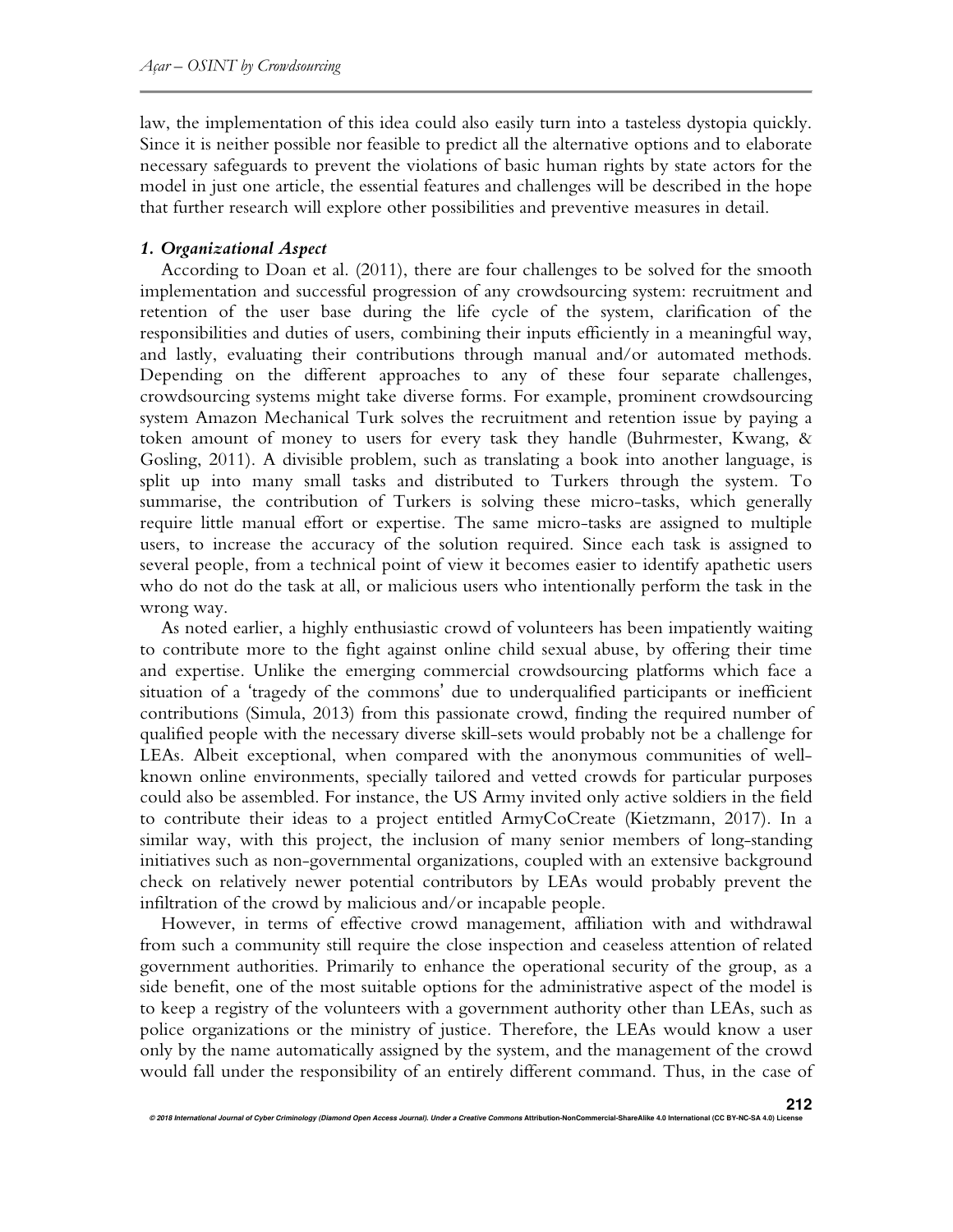law, the implementation of this idea could also easily turn into a tasteless dystopia quickly. Since it is neither possible nor feasible to predict all the alternative options and to elaborate necessary safeguards to prevent the violations of basic human rights by state actors for the model in just one article, the essential features and challenges will be described in the hope that further research will explore other possibilities and preventive measures in detail.

## *1. Organizational Aspect*

According to Doan et al. (2011), there are four challenges to be solved for the smooth implementation and successful progression of any crowdsourcing system: recruitment and retention of the user base during the life cycle of the system, clarification of the responsibilities and duties of users, combining their inputs efficiently in a meaningful way, and lastly, evaluating their contributions through manual and/or automated methods. Depending on the different approaches to any of these four separate challenges, crowdsourcing systems might take diverse forms. For example, prominent crowdsourcing system Amazon Mechanical Turk solves the recruitment and retention issue by paying a token amount of money to users for every task they handle (Buhrmester, Kwang, & Gosling, 2011). A divisible problem, such as translating a book into another language, is split up into many small tasks and distributed to Turkers through the system. To summarise, the contribution of Turkers is solving these micro-tasks, which generally require little manual effort or expertise. The same micro-tasks are assigned to multiple users, to increase the accuracy of the solution required. Since each task is assigned to several people, from a technical point of view it becomes easier to identify apathetic users who do not do the task at all, or malicious users who intentionally perform the task in the wrong way.

As noted earlier, a highly enthusiastic crowd of volunteers has been impatiently waiting to contribute more to the fight against online child sexual abuse, by offering their time and expertise. Unlike the emerging commercial crowdsourcing platforms which face a situation of a 'tragedy of the commons' due to underqualified participants or inefficient contributions (Simula, 2013) from this passionate crowd, finding the required number of qualified people with the necessary diverse skill-sets would probably not be a challenge for LEAs. Albeit exceptional, when compared with the anonymous communities of wellknown online environments, specially tailored and vetted crowds for particular purposes could also be assembled. For instance, the US Army invited only active soldiers in the field to contribute their ideas to a project entitled ArmyCoCreate (Kietzmann, 2017). In a similar way, with this project, the inclusion of many senior members of long-standing initiatives such as non-governmental organizations, coupled with an extensive background check on relatively newer potential contributors by LEAs would probably prevent the infiltration of the crowd by malicious and/or incapable people.

However, in terms of effective crowd management, affiliation with and withdrawal from such a community still require the close inspection and ceaseless attention of related government authorities. Primarily to enhance the operational security of the group, as a side benefit, one of the most suitable options for the administrative aspect of the model is to keep a registry of the volunteers with a government authority other than LEAs, such as police organizations or the ministry of justice. Therefore, the LEAs would know a user only by the name automatically assigned by the system, and the management of the crowd would fall under the responsibility of an entirely different command. Thus, in the case of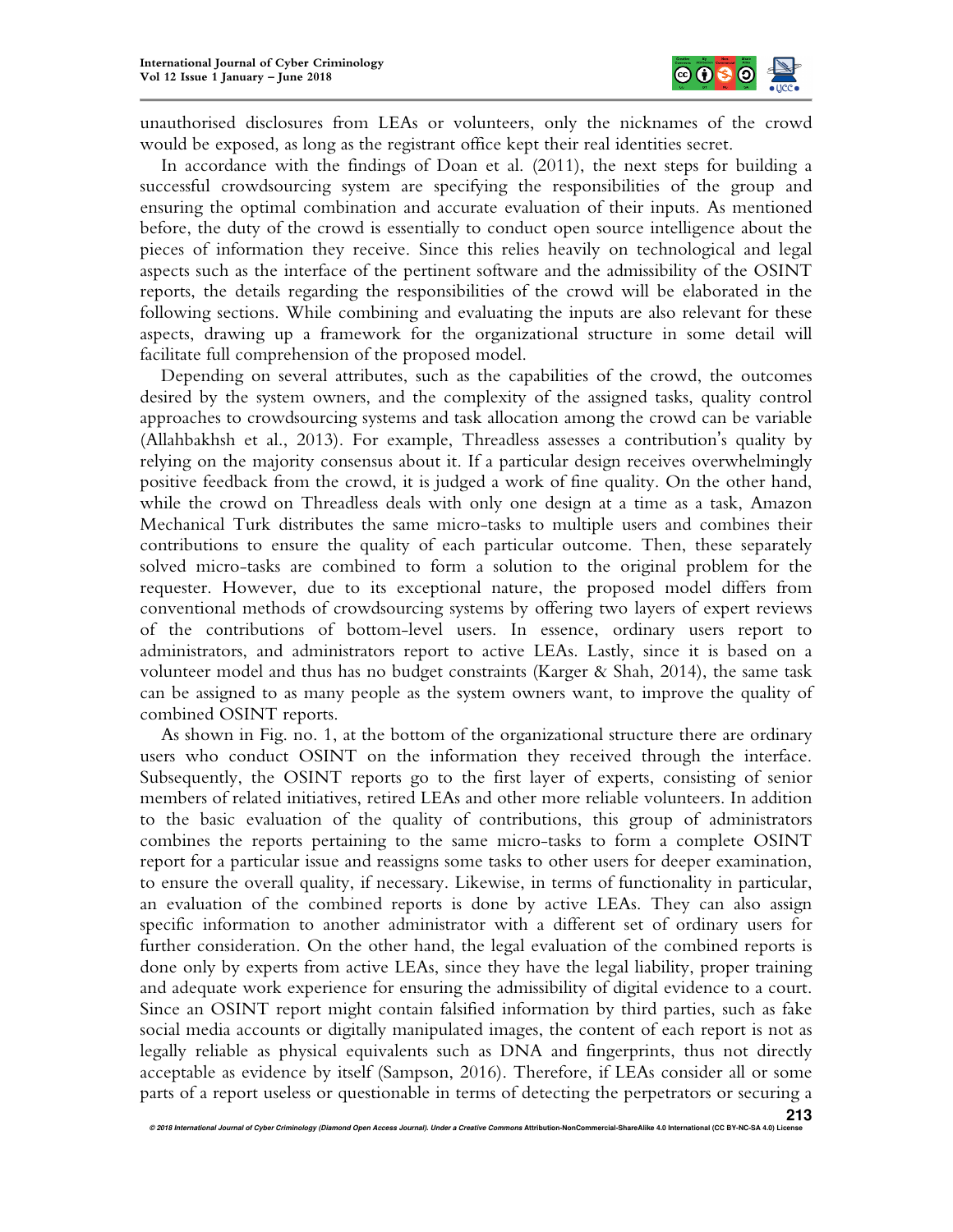

unauthorised disclosures from LEAs or volunteers, only the nicknames of the crowd would be exposed, as long as the registrant office kept their real identities secret.

In accordance with the findings of Doan et al. (2011), the next steps for building a successful crowdsourcing system are specifying the responsibilities of the group and ensuring the optimal combination and accurate evaluation of their inputs. As mentioned before, the duty of the crowd is essentially to conduct open source intelligence about the pieces of information they receive. Since this relies heavily on technological and legal aspects such as the interface of the pertinent software and the admissibility of the OSINT reports, the details regarding the responsibilities of the crowd will be elaborated in the following sections. While combining and evaluating the inputs are also relevant for these aspects, drawing up a framework for the organizational structure in some detail will facilitate full comprehension of the proposed model.

Depending on several attributes, such as the capabilities of the crowd, the outcomes desired by the system owners, and the complexity of the assigned tasks, quality control approaches to crowdsourcing systems and task allocation among the crowd can be variable (Allahbakhsh et al., 2013). For example, Threadless assesses a contribution's quality by relying on the majority consensus about it. If a particular design receives overwhelmingly positive feedback from the crowd, it is judged a work of fine quality. On the other hand, while the crowd on Threadless deals with only one design at a time as a task, Amazon Mechanical Turk distributes the same micro-tasks to multiple users and combines their contributions to ensure the quality of each particular outcome. Then, these separately solved micro-tasks are combined to form a solution to the original problem for the requester. However, due to its exceptional nature, the proposed model differs from conventional methods of crowdsourcing systems by offering two layers of expert reviews of the contributions of bottom-level users. In essence, ordinary users report to administrators, and administrators report to active LEAs. Lastly, since it is based on a volunteer model and thus has no budget constraints (Karger & Shah, 2014), the same task can be assigned to as many people as the system owners want, to improve the quality of combined OSINT reports.

As shown in Fig. no. 1, at the bottom of the organizational structure there are ordinary users who conduct OSINT on the information they received through the interface. Subsequently, the OSINT reports go to the first layer of experts, consisting of senior members of related initiatives, retired LEAs and other more reliable volunteers. In addition to the basic evaluation of the quality of contributions, this group of administrators combines the reports pertaining to the same micro-tasks to form a complete OSINT report for a particular issue and reassigns some tasks to other users for deeper examination, to ensure the overall quality, if necessary. Likewise, in terms of functionality in particular, an evaluation of the combined reports is done by active LEAs. They can also assign specific information to another administrator with a different set of ordinary users for further consideration. On the other hand, the legal evaluation of the combined reports is done only by experts from active LEAs, since they have the legal liability, proper training and adequate work experience for ensuring the admissibility of digital evidence to a court. Since an OSINT report might contain falsified information by third parties, such as fake social media accounts or digitally manipulated images, the content of each report is not as legally reliable as physical equivalents such as DNA and fingerprints, thus not directly acceptable as evidence by itself (Sampson, 2016). Therefore, if LEAs consider all or some parts of a report useless or questionable in terms of detecting the perpetrators or securing a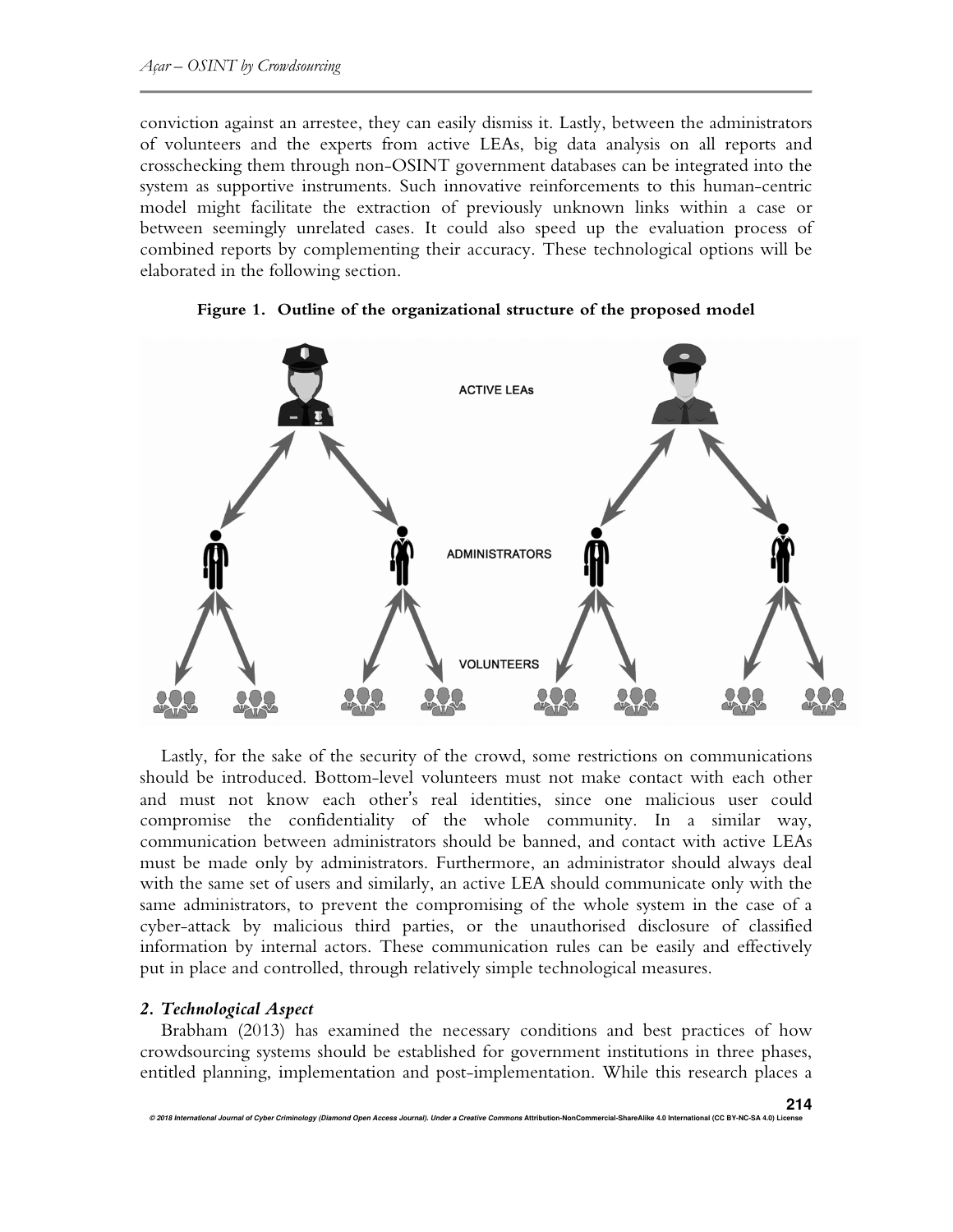conviction against an arrestee, they can easily dismiss it. Lastly, between the administrators of volunteers and the experts from active LEAs, big data analysis on all reports and crosschecking them through non-OSINT government databases can be integrated into the system as supportive instruments. Such innovative reinforcements to this human-centric model might facilitate the extraction of previously unknown links within a case or between seemingly unrelated cases. It could also speed up the evaluation process of combined reports by complementing their accuracy. These technological options will be elaborated in the following section.



 **Figure 1. Outline of the organizational structure of the proposed model** 

Lastly, for the sake of the security of the crowd, some restrictions on communications should be introduced. Bottom-level volunteers must not make contact with each other and must not know each other's real identities, since one malicious user could compromise the confidentiality of the whole community. In a similar way, communication between administrators should be banned, and contact with active LEAs must be made only by administrators. Furthermore, an administrator should always deal with the same set of users and similarly, an active LEA should communicate only with the same administrators, to prevent the compromising of the whole system in the case of a cyber-attack by malicious third parties, or the unauthorised disclosure of classified information by internal actors. These communication rules can be easily and effectively put in place and controlled, through relatively simple technological measures.

### *2. Technological Aspect*

Brabham (2013) has examined the necessary conditions and best practices of how crowdsourcing systems should be established for government institutions in three phases, entitled planning, implementation and post-implementation. While this research places a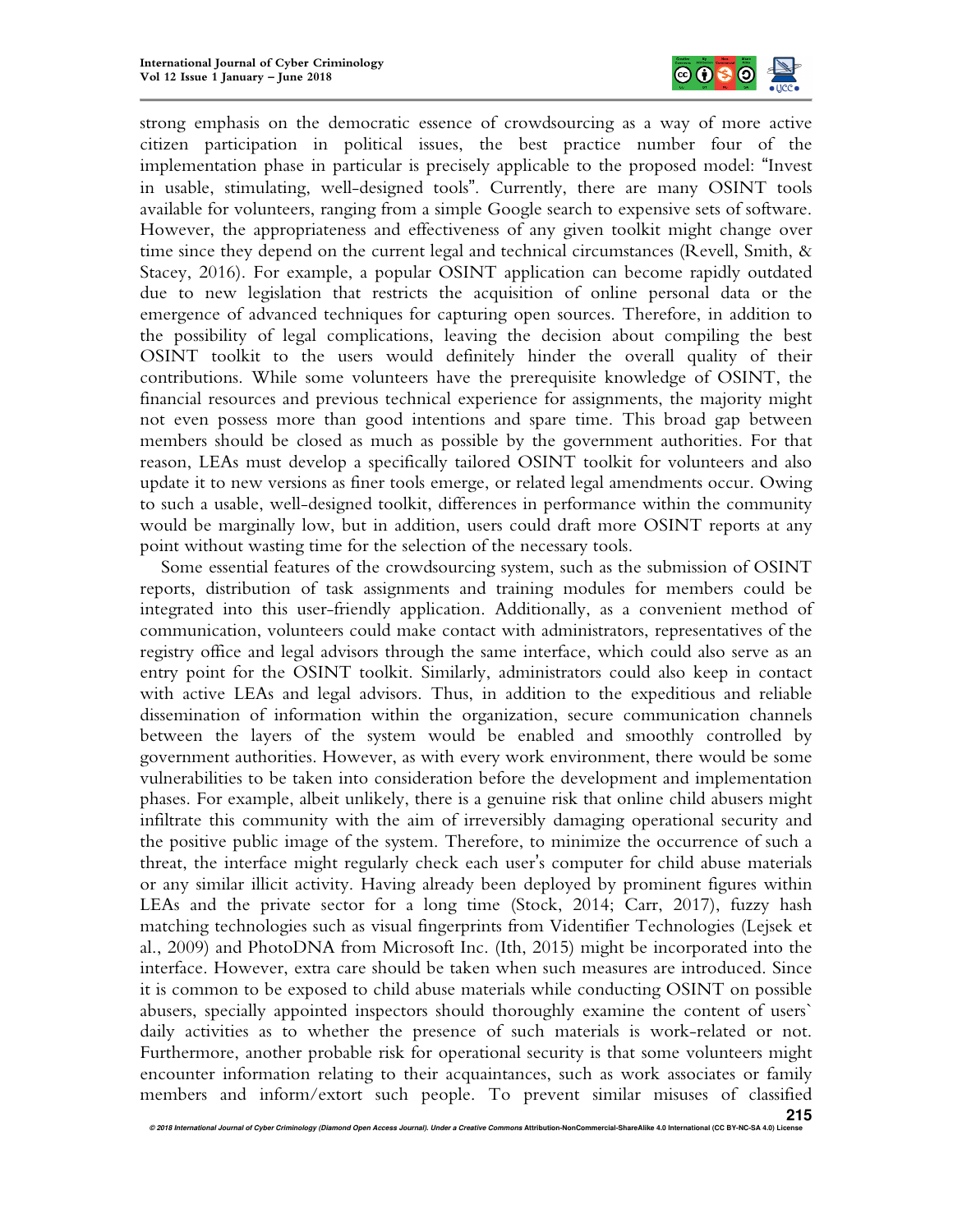

strong emphasis on the democratic essence of crowdsourcing as a way of more active citizen participation in political issues, the best practice number four of the implementation phase in particular is precisely applicable to the proposed model: "Invest in usable, stimulating, well-designed tools". Currently, there are many OSINT tools available for volunteers, ranging from a simple Google search to expensive sets of software. However, the appropriateness and effectiveness of any given toolkit might change over time since they depend on the current legal and technical circumstances (Revell, Smith, & Stacey, 2016). For example, a popular OSINT application can become rapidly outdated due to new legislation that restricts the acquisition of online personal data or the emergence of advanced techniques for capturing open sources. Therefore, in addition to the possibility of legal complications, leaving the decision about compiling the best OSINT toolkit to the users would definitely hinder the overall quality of their contributions. While some volunteers have the prerequisite knowledge of OSINT, the financial resources and previous technical experience for assignments, the majority might not even possess more than good intentions and spare time. This broad gap between members should be closed as much as possible by the government authorities. For that reason, LEAs must develop a specifically tailored OSINT toolkit for volunteers and also update it to new versions as finer tools emerge, or related legal amendments occur. Owing to such a usable, well-designed toolkit, differences in performance within the community would be marginally low, but in addition, users could draft more OSINT reports at any point without wasting time for the selection of the necessary tools.

Some essential features of the crowdsourcing system, such as the submission of OSINT reports, distribution of task assignments and training modules for members could be integrated into this user-friendly application. Additionally, as a convenient method of communication, volunteers could make contact with administrators, representatives of the registry office and legal advisors through the same interface, which could also serve as an entry point for the OSINT toolkit. Similarly, administrators could also keep in contact with active LEAs and legal advisors. Thus, in addition to the expeditious and reliable dissemination of information within the organization, secure communication channels between the layers of the system would be enabled and smoothly controlled by government authorities. However, as with every work environment, there would be some vulnerabilities to be taken into consideration before the development and implementation phases. For example, albeit unlikely, there is a genuine risk that online child abusers might infiltrate this community with the aim of irreversibly damaging operational security and the positive public image of the system. Therefore, to minimize the occurrence of such a threat, the interface might regularly check each user's computer for child abuse materials or any similar illicit activity. Having already been deployed by prominent figures within LEAs and the private sector for a long time (Stock, 2014; Carr, 2017), fuzzy hash matching technologies such as visual fingerprints from Videntifier Technologies (Lejsek et al., 2009) and PhotoDNA from Microsoft Inc. (Ith, 2015) might be incorporated into the interface. However, extra care should be taken when such measures are introduced. Since it is common to be exposed to child abuse materials while conducting OSINT on possible abusers, specially appointed inspectors should thoroughly examine the content of users` daily activities as to whether the presence of such materials is work-related or not. Furthermore, another probable risk for operational security is that some volunteers might encounter information relating to their acquaintances, such as work associates or family members and inform/extort such people. To prevent similar misuses of classified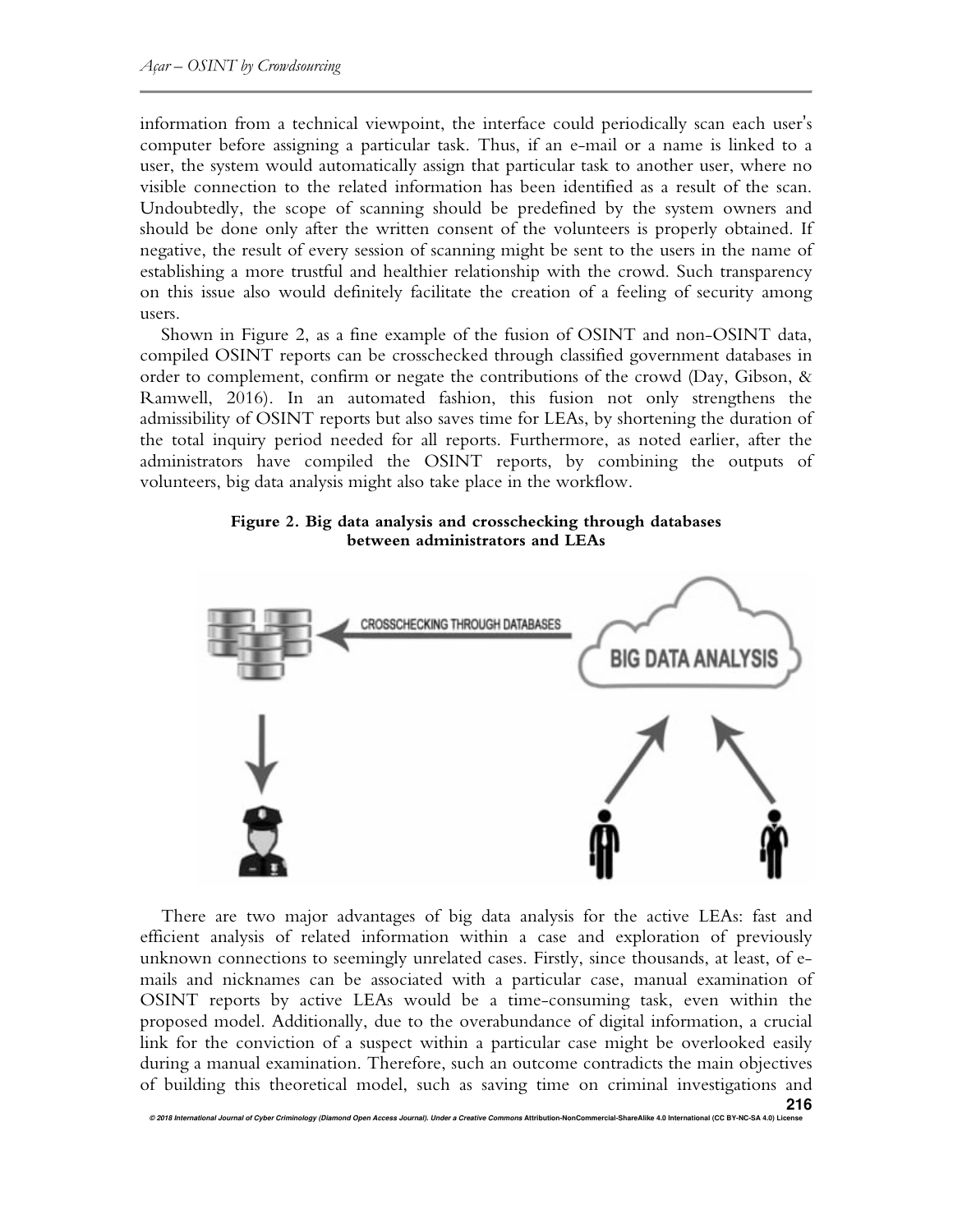information from a technical viewpoint, the interface could periodically scan each user's computer before assigning a particular task. Thus, if an e-mail or a name is linked to a user, the system would automatically assign that particular task to another user, where no visible connection to the related information has been identified as a result of the scan. Undoubtedly, the scope of scanning should be predefined by the system owners and should be done only after the written consent of the volunteers is properly obtained. If negative, the result of every session of scanning might be sent to the users in the name of establishing a more trustful and healthier relationship with the crowd. Such transparency on this issue also would definitely facilitate the creation of a feeling of security among users.

Shown in Figure 2, as a fine example of the fusion of OSINT and non-OSINT data, compiled OSINT reports can be crosschecked through classified government databases in order to complement, confirm or negate the contributions of the crowd (Day, Gibson, & Ramwell, 2016). In an automated fashion, this fusion not only strengthens the admissibility of OSINT reports but also saves time for LEAs, by shortening the duration of the total inquiry period needed for all reports. Furthermore, as noted earlier, after the administrators have compiled the OSINT reports, by combining the outputs of volunteers, big data analysis might also take place in the workflow.

## **Figure 2. Big data analysis and crosschecking through databases between administrators and LEAs**



There are two major advantages of big data analysis for the active LEAs: fast and efficient analysis of related information within a case and exploration of previously unknown connections to seemingly unrelated cases. Firstly, since thousands, at least, of emails and nicknames can be associated with a particular case, manual examination of OSINT reports by active LEAs would be a time-consuming task, even within the proposed model. Additionally, due to the overabundance of digital information, a crucial link for the conviction of a suspect within a particular case might be overlooked easily during a manual examination. Therefore, such an outcome contradicts the main objectives of building this theoretical model, such as saving time on criminal investigations and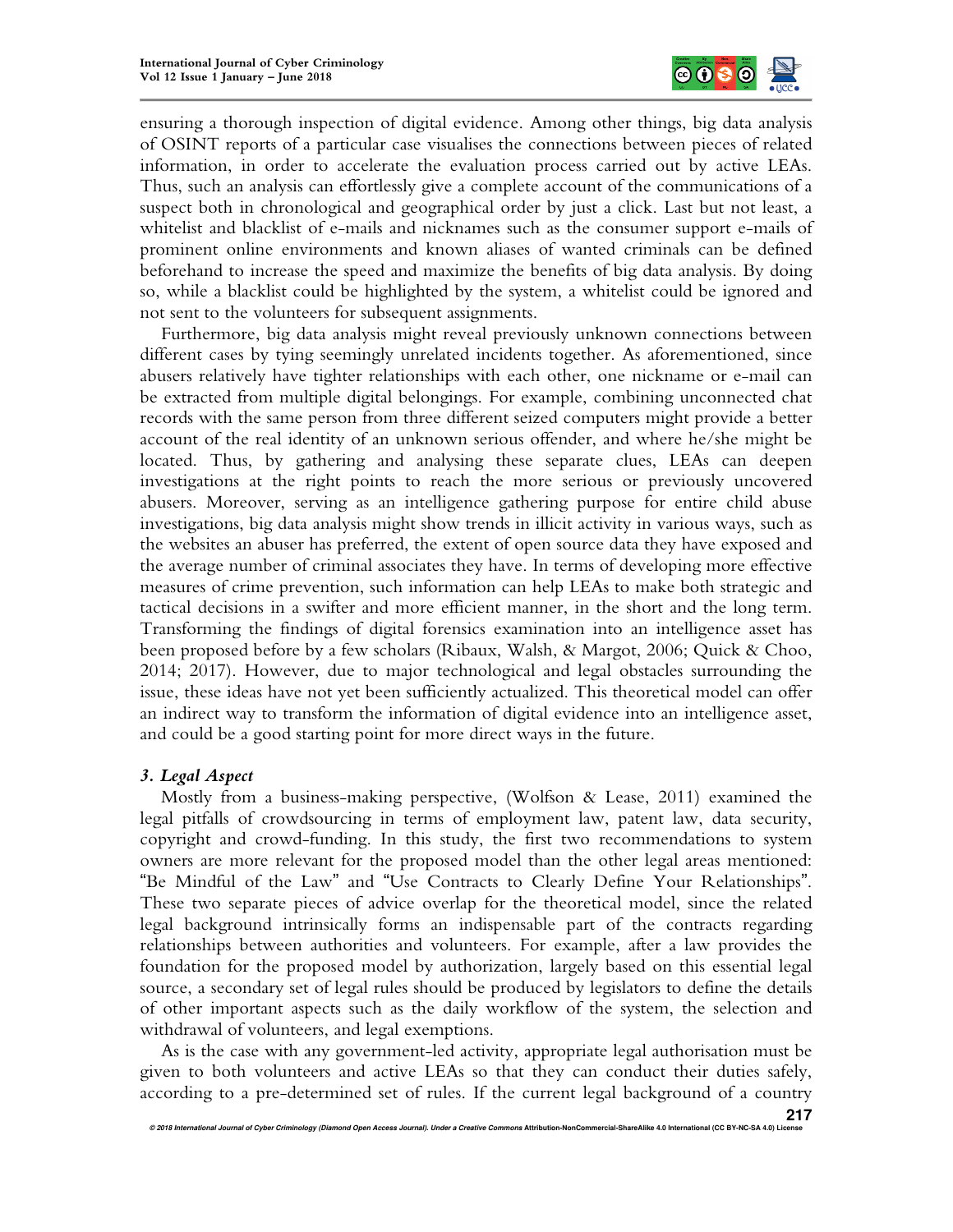

ensuring a thorough inspection of digital evidence. Among other things, big data analysis of OSINT reports of a particular case visualises the connections between pieces of related information, in order to accelerate the evaluation process carried out by active LEAs. Thus, such an analysis can effortlessly give a complete account of the communications of a suspect both in chronological and geographical order by just a click. Last but not least, a whitelist and blacklist of e-mails and nicknames such as the consumer support e-mails of prominent online environments and known aliases of wanted criminals can be defined beforehand to increase the speed and maximize the benefits of big data analysis. By doing so, while a blacklist could be highlighted by the system, a whitelist could be ignored and not sent to the volunteers for subsequent assignments.

Furthermore, big data analysis might reveal previously unknown connections between different cases by tying seemingly unrelated incidents together. As aforementioned, since abusers relatively have tighter relationships with each other, one nickname or e-mail can be extracted from multiple digital belongings. For example, combining unconnected chat records with the same person from three different seized computers might provide a better account of the real identity of an unknown serious offender, and where he/she might be located. Thus, by gathering and analysing these separate clues, LEAs can deepen investigations at the right points to reach the more serious or previously uncovered abusers. Moreover, serving as an intelligence gathering purpose for entire child abuse investigations, big data analysis might show trends in illicit activity in various ways, such as the websites an abuser has preferred, the extent of open source data they have exposed and the average number of criminal associates they have. In terms of developing more effective measures of crime prevention, such information can help LEAs to make both strategic and tactical decisions in a swifter and more efficient manner, in the short and the long term. Transforming the findings of digital forensics examination into an intelligence asset has been proposed before by a few scholars (Ribaux, Walsh, & Margot, 2006; Quick & Choo, 2014; 2017). However, due to major technological and legal obstacles surrounding the issue, these ideas have not yet been sufficiently actualized. This theoretical model can offer an indirect way to transform the information of digital evidence into an intelligence asset, and could be a good starting point for more direct ways in the future.

### *3. Legal Aspect*

Mostly from a business-making perspective, (Wolfson & Lease, 2011) examined the legal pitfalls of crowdsourcing in terms of employment law, patent law, data security, copyright and crowd-funding. In this study, the first two recommendations to system owners are more relevant for the proposed model than the other legal areas mentioned: "Be Mindful of the Law" and "Use Contracts to Clearly Define Your Relationships". These two separate pieces of advice overlap for the theoretical model, since the related legal background intrinsically forms an indispensable part of the contracts regarding relationships between authorities and volunteers. For example, after a law provides the foundation for the proposed model by authorization, largely based on this essential legal source, a secondary set of legal rules should be produced by legislators to define the details of other important aspects such as the daily workflow of the system, the selection and withdrawal of volunteers, and legal exemptions.

As is the case with any government-led activity, appropriate legal authorisation must be given to both volunteers and active LEAs so that they can conduct their duties safely, according to a pre-determined set of rules. If the current legal background of a country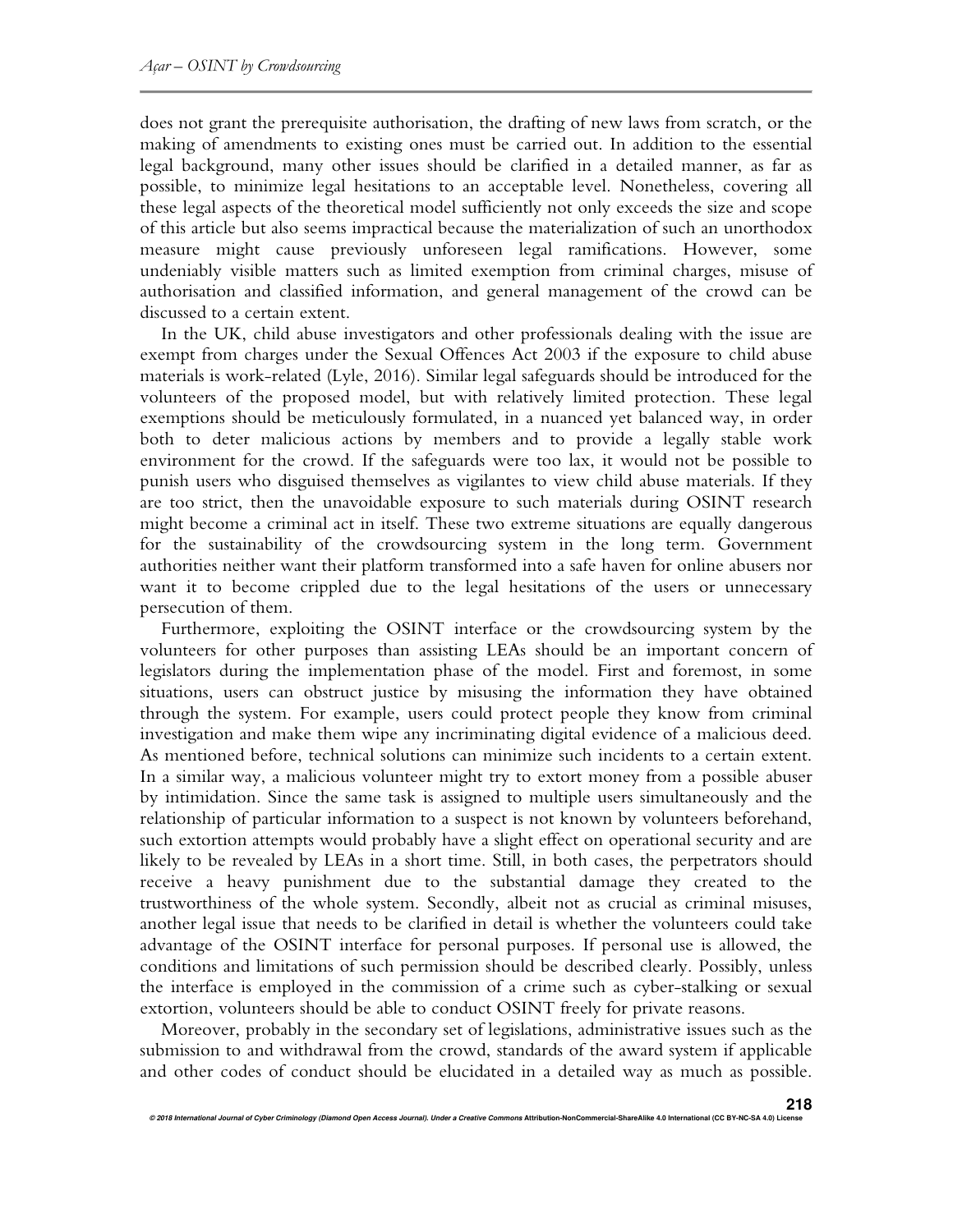does not grant the prerequisite authorisation, the drafting of new laws from scratch, or the making of amendments to existing ones must be carried out. In addition to the essential legal background, many other issues should be clarified in a detailed manner, as far as possible, to minimize legal hesitations to an acceptable level. Nonetheless, covering all these legal aspects of the theoretical model sufficiently not only exceeds the size and scope of this article but also seems impractical because the materialization of such an unorthodox measure might cause previously unforeseen legal ramifications. However, some undeniably visible matters such as limited exemption from criminal charges, misuse of authorisation and classified information, and general management of the crowd can be discussed to a certain extent.

In the UK, child abuse investigators and other professionals dealing with the issue are exempt from charges under the Sexual Offences Act 2003 if the exposure to child abuse materials is work-related (Lyle, 2016). Similar legal safeguards should be introduced for the volunteers of the proposed model, but with relatively limited protection. These legal exemptions should be meticulously formulated, in a nuanced yet balanced way, in order both to deter malicious actions by members and to provide a legally stable work environment for the crowd. If the safeguards were too lax, it would not be possible to punish users who disguised themselves as vigilantes to view child abuse materials. If they are too strict, then the unavoidable exposure to such materials during OSINT research might become a criminal act in itself. These two extreme situations are equally dangerous for the sustainability of the crowdsourcing system in the long term. Government authorities neither want their platform transformed into a safe haven for online abusers nor want it to become crippled due to the legal hesitations of the users or unnecessary persecution of them.

Furthermore, exploiting the OSINT interface or the crowdsourcing system by the volunteers for other purposes than assisting LEAs should be an important concern of legislators during the implementation phase of the model. First and foremost, in some situations, users can obstruct justice by misusing the information they have obtained through the system. For example, users could protect people they know from criminal investigation and make them wipe any incriminating digital evidence of a malicious deed. As mentioned before, technical solutions can minimize such incidents to a certain extent. In a similar way, a malicious volunteer might try to extort money from a possible abuser by intimidation. Since the same task is assigned to multiple users simultaneously and the relationship of particular information to a suspect is not known by volunteers beforehand, such extortion attempts would probably have a slight effect on operational security and are likely to be revealed by LEAs in a short time. Still, in both cases, the perpetrators should receive a heavy punishment due to the substantial damage they created to the trustworthiness of the whole system. Secondly, albeit not as crucial as criminal misuses, another legal issue that needs to be clarified in detail is whether the volunteers could take advantage of the OSINT interface for personal purposes. If personal use is allowed, the conditions and limitations of such permission should be described clearly. Possibly, unless the interface is employed in the commission of a crime such as cyber-stalking or sexual extortion, volunteers should be able to conduct OSINT freely for private reasons.

Moreover, probably in the secondary set of legislations, administrative issues such as the submission to and withdrawal from the crowd, standards of the award system if applicable and other codes of conduct should be elucidated in a detailed way as much as possible.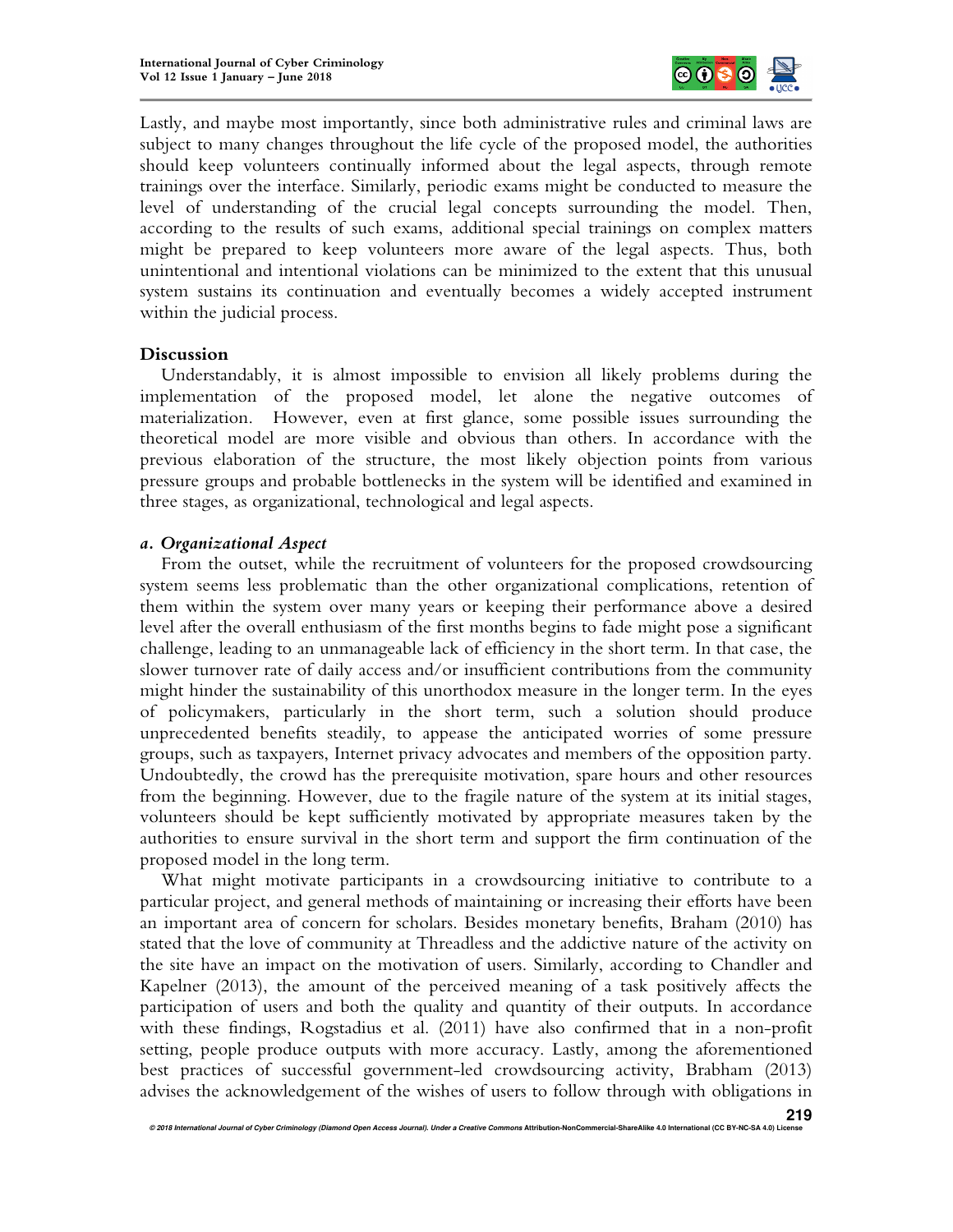

Lastly, and maybe most importantly, since both administrative rules and criminal laws are subject to many changes throughout the life cycle of the proposed model, the authorities should keep volunteers continually informed about the legal aspects, through remote trainings over the interface. Similarly, periodic exams might be conducted to measure the level of understanding of the crucial legal concepts surrounding the model. Then, according to the results of such exams, additional special trainings on complex matters might be prepared to keep volunteers more aware of the legal aspects. Thus, both unintentional and intentional violations can be minimized to the extent that this unusual system sustains its continuation and eventually becomes a widely accepted instrument within the judicial process.

#### **Discussion**

Understandably, it is almost impossible to envision all likely problems during the implementation of the proposed model, let alone the negative outcomes of materialization. However, even at first glance, some possible issues surrounding the theoretical model are more visible and obvious than others. In accordance with the previous elaboration of the structure, the most likely objection points from various pressure groups and probable bottlenecks in the system will be identified and examined in three stages, as organizational, technological and legal aspects.

### *a. Organizational Aspect*

From the outset, while the recruitment of volunteers for the proposed crowdsourcing system seems less problematic than the other organizational complications, retention of them within the system over many years or keeping their performance above a desired level after the overall enthusiasm of the first months begins to fade might pose a significant challenge, leading to an unmanageable lack of efficiency in the short term. In that case, the slower turnover rate of daily access and/or insufficient contributions from the community might hinder the sustainability of this unorthodox measure in the longer term. In the eyes of policymakers, particularly in the short term, such a solution should produce unprecedented benefits steadily, to appease the anticipated worries of some pressure groups, such as taxpayers, Internet privacy advocates and members of the opposition party. Undoubtedly, the crowd has the prerequisite motivation, spare hours and other resources from the beginning. However, due to the fragile nature of the system at its initial stages, volunteers should be kept sufficiently motivated by appropriate measures taken by the authorities to ensure survival in the short term and support the firm continuation of the proposed model in the long term.

What might motivate participants in a crowdsourcing initiative to contribute to a particular project, and general methods of maintaining or increasing their efforts have been an important area of concern for scholars. Besides monetary benefits, Braham (2010) has stated that the love of community at Threadless and the addictive nature of the activity on the site have an impact on the motivation of users. Similarly, according to Chandler and Kapelner (2013), the amount of the perceived meaning of a task positively affects the participation of users and both the quality and quantity of their outputs. In accordance with these findings, Rogstadius et al. (2011) have also confirmed that in a non-profit setting, people produce outputs with more accuracy. Lastly, among the aforementioned best practices of successful government-led crowdsourcing activity, Brabham (2013) advises the acknowledgement of the wishes of users to follow through with obligations in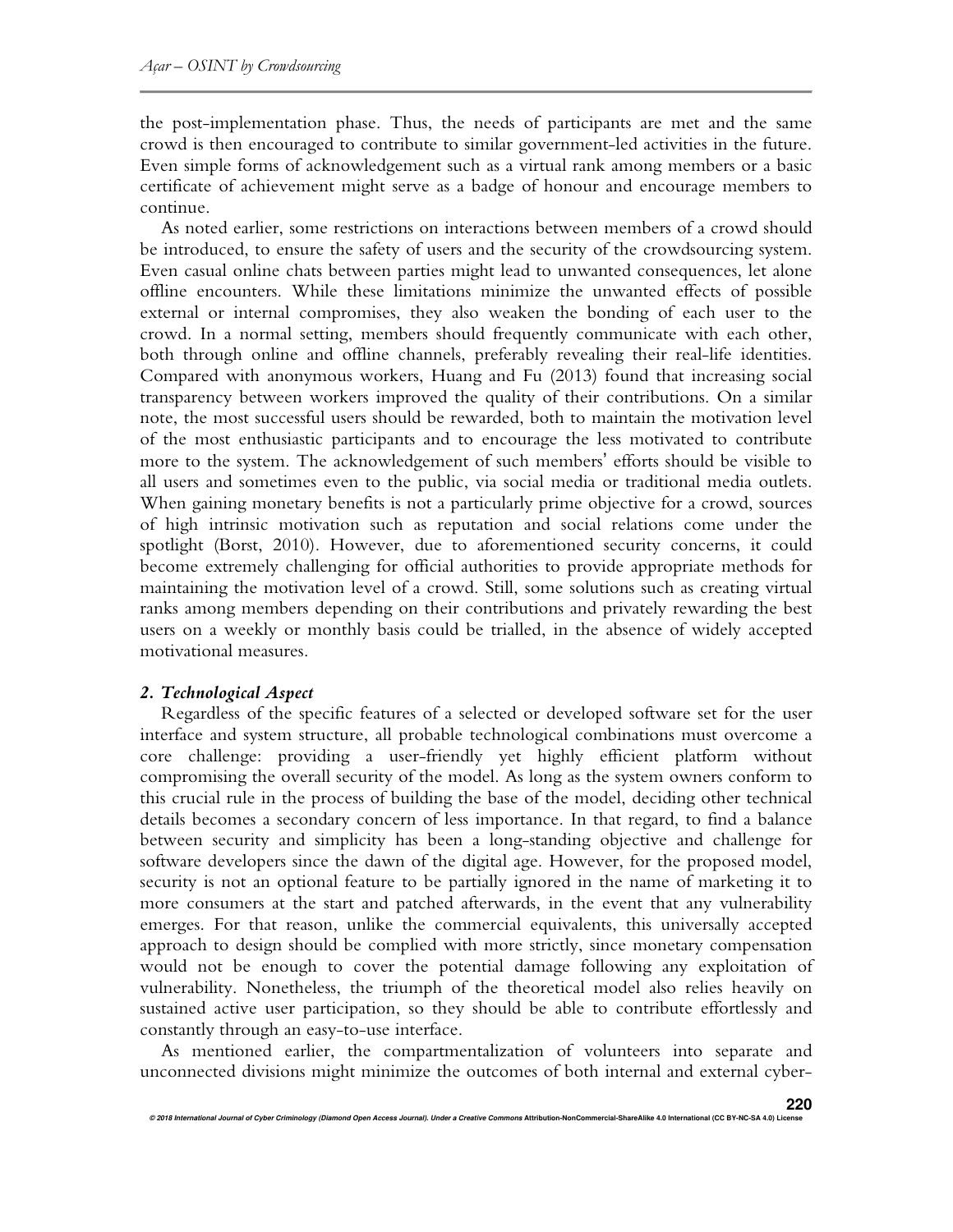the post-implementation phase. Thus, the needs of participants are met and the same crowd is then encouraged to contribute to similar government-led activities in the future. Even simple forms of acknowledgement such as a virtual rank among members or a basic certificate of achievement might serve as a badge of honour and encourage members to continue.

As noted earlier, some restrictions on interactions between members of a crowd should be introduced, to ensure the safety of users and the security of the crowdsourcing system. Even casual online chats between parties might lead to unwanted consequences, let alone offline encounters. While these limitations minimize the unwanted effects of possible external or internal compromises, they also weaken the bonding of each user to the crowd. In a normal setting, members should frequently communicate with each other, both through online and offline channels, preferably revealing their real-life identities. Compared with anonymous workers, Huang and Fu (2013) found that increasing social transparency between workers improved the quality of their contributions. On a similar note, the most successful users should be rewarded, both to maintain the motivation level of the most enthusiastic participants and to encourage the less motivated to contribute more to the system. The acknowledgement of such members' efforts should be visible to all users and sometimes even to the public, via social media or traditional media outlets. When gaining monetary benefits is not a particularly prime objective for a crowd, sources of high intrinsic motivation such as reputation and social relations come under the spotlight (Borst, 2010). However, due to aforementioned security concerns, it could become extremely challenging for official authorities to provide appropriate methods for maintaining the motivation level of a crowd. Still, some solutions such as creating virtual ranks among members depending on their contributions and privately rewarding the best users on a weekly or monthly basis could be trialled, in the absence of widely accepted motivational measures.

## *2. Technological Aspect*

Regardless of the specific features of a selected or developed software set for the user interface and system structure, all probable technological combinations must overcome a core challenge: providing a user-friendly yet highly efficient platform without compromising the overall security of the model. As long as the system owners conform to this crucial rule in the process of building the base of the model, deciding other technical details becomes a secondary concern of less importance. In that regard, to find a balance between security and simplicity has been a long-standing objective and challenge for software developers since the dawn of the digital age. However, for the proposed model, security is not an optional feature to be partially ignored in the name of marketing it to more consumers at the start and patched afterwards, in the event that any vulnerability emerges. For that reason, unlike the commercial equivalents, this universally accepted approach to design should be complied with more strictly, since monetary compensation would not be enough to cover the potential damage following any exploitation of vulnerability. Nonetheless, the triumph of the theoretical model also relies heavily on sustained active user participation, so they should be able to contribute effortlessly and constantly through an easy-to-use interface.

As mentioned earlier, the compartmentalization of volunteers into separate and unconnected divisions might minimize the outcomes of both internal and external cyber-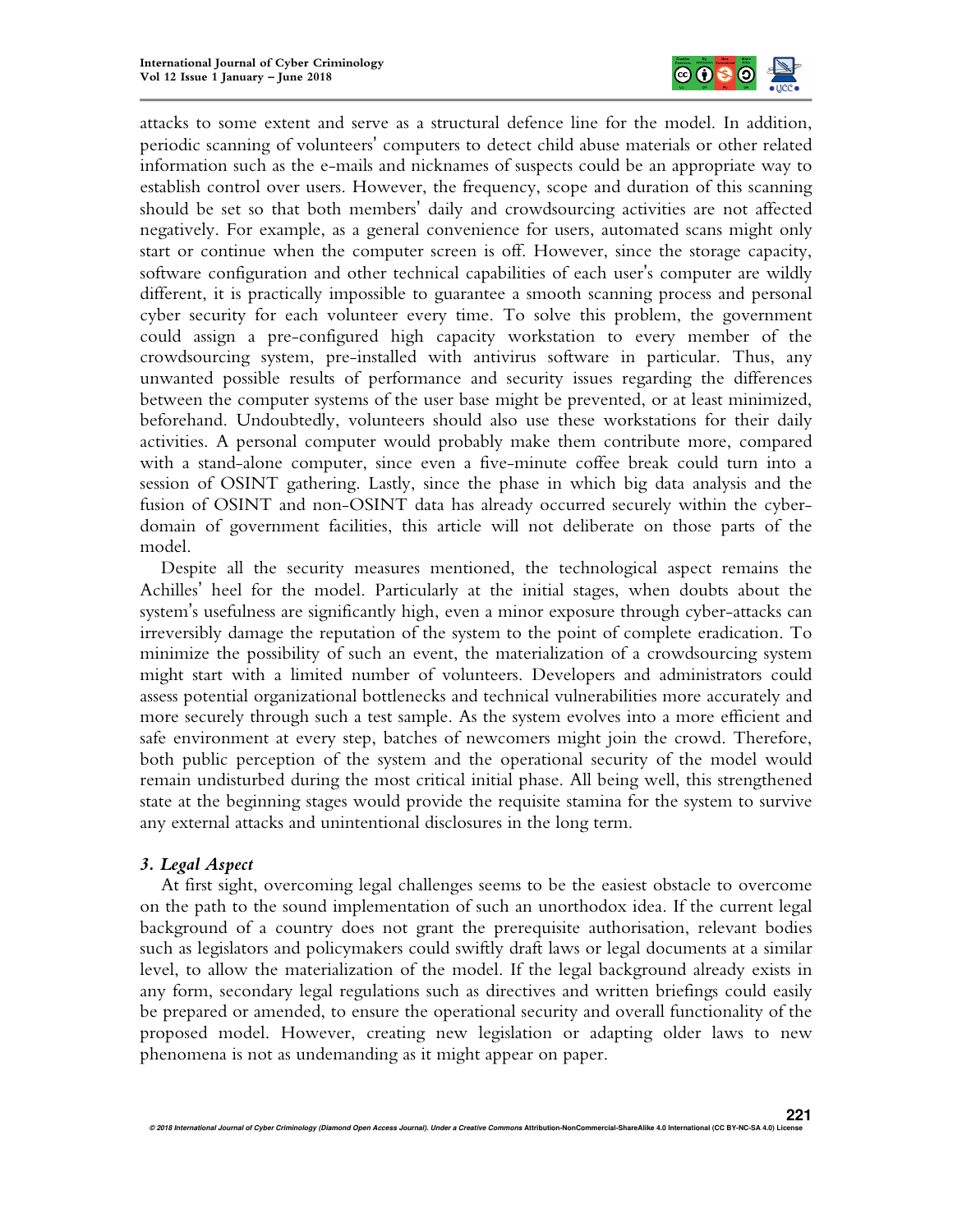

attacks to some extent and serve as a structural defence line for the model. In addition, periodic scanning of volunteers' computers to detect child abuse materials or other related information such as the e-mails and nicknames of suspects could be an appropriate way to establish control over users. However, the frequency, scope and duration of this scanning should be set so that both members' daily and crowdsourcing activities are not affected negatively. For example, as a general convenience for users, automated scans might only start or continue when the computer screen is off. However, since the storage capacity, software configuration and other technical capabilities of each user's computer are wildly different, it is practically impossible to guarantee a smooth scanning process and personal cyber security for each volunteer every time. To solve this problem, the government could assign a pre-configured high capacity workstation to every member of the crowdsourcing system, pre-installed with antivirus software in particular. Thus, any unwanted possible results of performance and security issues regarding the differences between the computer systems of the user base might be prevented, or at least minimized, beforehand. Undoubtedly, volunteers should also use these workstations for their daily activities. A personal computer would probably make them contribute more, compared with a stand-alone computer, since even a five-minute coffee break could turn into a session of OSINT gathering. Lastly, since the phase in which big data analysis and the fusion of OSINT and non-OSINT data has already occurred securely within the cyberdomain of government facilities, this article will not deliberate on those parts of the model.

Despite all the security measures mentioned, the technological aspect remains the Achilles' heel for the model. Particularly at the initial stages, when doubts about the system's usefulness are significantly high, even a minor exposure through cyber-attacks can irreversibly damage the reputation of the system to the point of complete eradication. To minimize the possibility of such an event, the materialization of a crowdsourcing system might start with a limited number of volunteers. Developers and administrators could assess potential organizational bottlenecks and technical vulnerabilities more accurately and more securely through such a test sample. As the system evolves into a more efficient and safe environment at every step, batches of newcomers might join the crowd. Therefore, both public perception of the system and the operational security of the model would remain undisturbed during the most critical initial phase. All being well, this strengthened state at the beginning stages would provide the requisite stamina for the system to survive any external attacks and unintentional disclosures in the long term.

### *3. Legal Aspect*

At first sight, overcoming legal challenges seems to be the easiest obstacle to overcome on the path to the sound implementation of such an unorthodox idea. If the current legal background of a country does not grant the prerequisite authorisation, relevant bodies such as legislators and policymakers could swiftly draft laws or legal documents at a similar level, to allow the materialization of the model. If the legal background already exists in any form, secondary legal regulations such as directives and written briefings could easily be prepared or amended, to ensure the operational security and overall functionality of the proposed model. However, creating new legislation or adapting older laws to new phenomena is not as undemanding as it might appear on paper.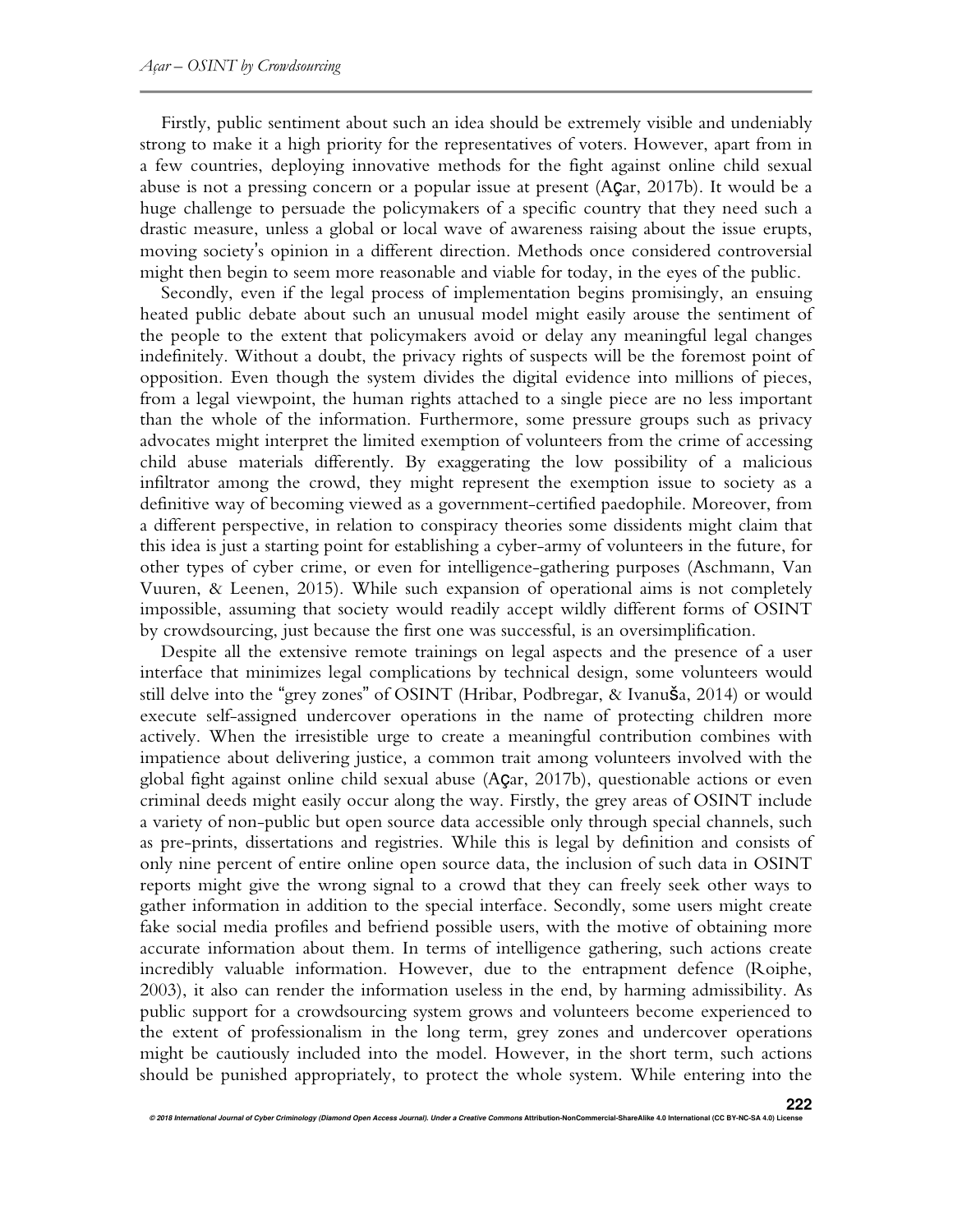Firstly, public sentiment about such an idea should be extremely visible and undeniably strong to make it a high priority for the representatives of voters. However, apart from in a few countries, deploying innovative methods for the fight against online child sexual abuse is not a pressing concern or a popular issue at present (Açar, 2017b). It would be a huge challenge to persuade the policymakers of a specific country that they need such a drastic measure, unless a global or local wave of awareness raising about the issue erupts, moving society's opinion in a different direction. Methods once considered controversial might then begin to seem more reasonable and viable for today, in the eyes of the public.

Secondly, even if the legal process of implementation begins promisingly, an ensuing heated public debate about such an unusual model might easily arouse the sentiment of the people to the extent that policymakers avoid or delay any meaningful legal changes indefinitely. Without a doubt, the privacy rights of suspects will be the foremost point of opposition. Even though the system divides the digital evidence into millions of pieces, from a legal viewpoint, the human rights attached to a single piece are no less important than the whole of the information. Furthermore, some pressure groups such as privacy advocates might interpret the limited exemption of volunteers from the crime of accessing child abuse materials differently. By exaggerating the low possibility of a malicious infiltrator among the crowd, they might represent the exemption issue to society as a definitive way of becoming viewed as a government-certified paedophile. Moreover, from a different perspective, in relation to conspiracy theories some dissidents might claim that this idea is just a starting point for establishing a cyber-army of volunteers in the future, for other types of cyber crime, or even for intelligence-gathering purposes (Aschmann, Van Vuuren, & Leenen, 2015). While such expansion of operational aims is not completely impossible, assuming that society would readily accept wildly different forms of OSINT by crowdsourcing, just because the first one was successful, is an oversimplification.

Despite all the extensive remote trainings on legal aspects and the presence of a user interface that minimizes legal complications by technical design, some volunteers would still delve into the "grey zones" of OSINT (Hribar, Podbregar, & Ivanuša, 2014) or would execute self-assigned undercover operations in the name of protecting children more actively. When the irresistible urge to create a meaningful contribution combines with impatience about delivering justice, a common trait among volunteers involved with the global fight against online child sexual abuse (Açar, 2017b), questionable actions or even criminal deeds might easily occur along the way. Firstly, the grey areas of OSINT include a variety of non-public but open source data accessible only through special channels, such as pre-prints, dissertations and registries. While this is legal by definition and consists of only nine percent of entire online open source data, the inclusion of such data in OSINT reports might give the wrong signal to a crowd that they can freely seek other ways to gather information in addition to the special interface. Secondly, some users might create fake social media profiles and befriend possible users, with the motive of obtaining more accurate information about them. In terms of intelligence gathering, such actions create incredibly valuable information. However, due to the entrapment defence (Roiphe, 2003), it also can render the information useless in the end, by harming admissibility. As public support for a crowdsourcing system grows and volunteers become experienced to the extent of professionalism in the long term, grey zones and undercover operations might be cautiously included into the model. However, in the short term, such actions should be punished appropriately, to protect the whole system. While entering into the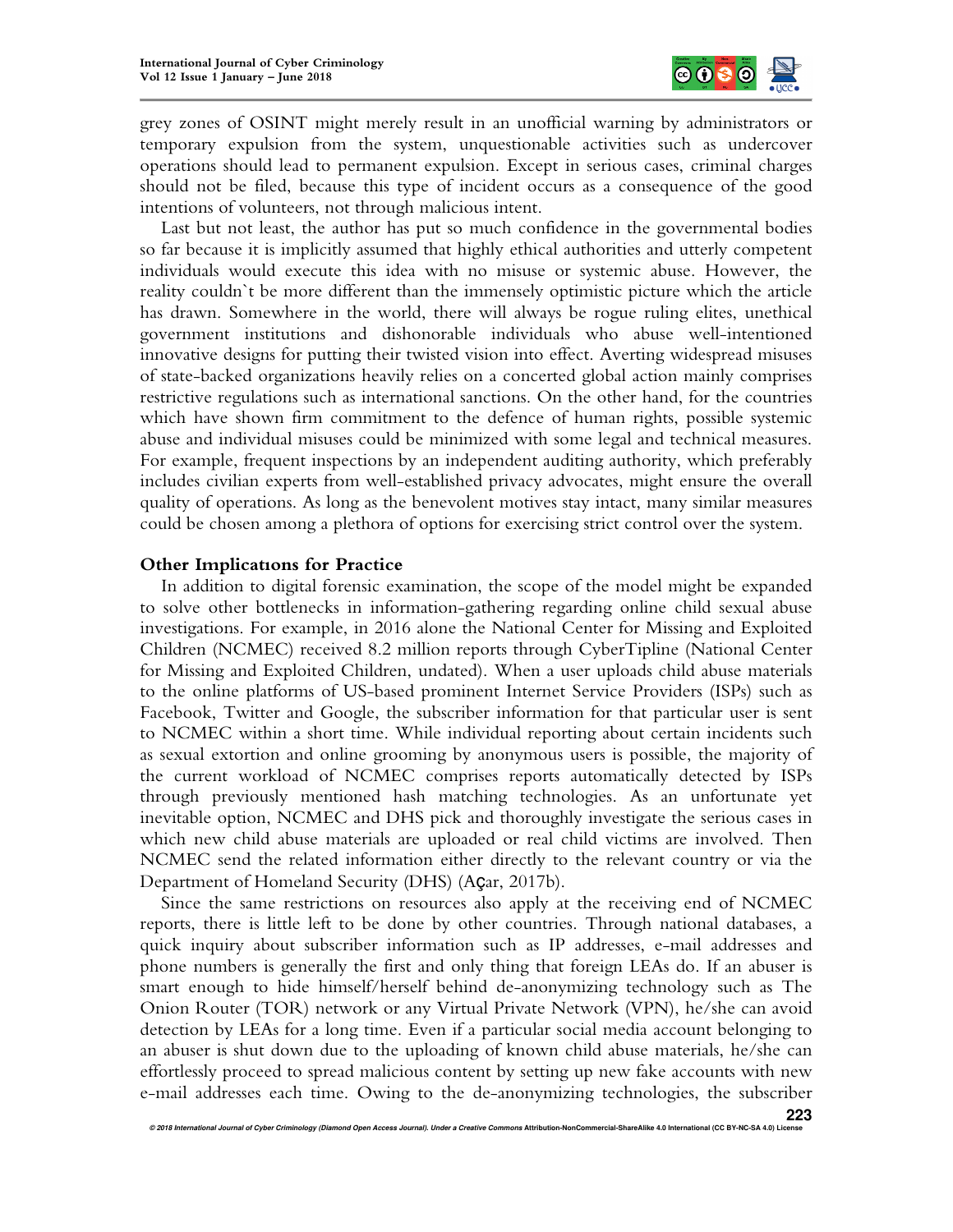

grey zones of OSINT might merely result in an unofficial warning by administrators or temporary expulsion from the system, unquestionable activities such as undercover operations should lead to permanent expulsion. Except in serious cases, criminal charges should not be filed, because this type of incident occurs as a consequence of the good intentions of volunteers, not through malicious intent.

Last but not least, the author has put so much confidence in the governmental bodies so far because it is implicitly assumed that highly ethical authorities and utterly competent individuals would execute this idea with no misuse or systemic abuse. However, the reality couldn`t be more different than the immensely optimistic picture which the article has drawn. Somewhere in the world, there will always be rogue ruling elites, unethical government institutions and dishonorable individuals who abuse well-intentioned innovative designs for putting their twisted vision into effect. Averting widespread misuses of state-backed organizations heavily relies on a concerted global action mainly comprises restrictive regulations such as international sanctions. On the other hand, for the countries which have shown firm commitment to the defence of human rights, possible systemic abuse and individual misuses could be minimized with some legal and technical measures. For example, frequent inspections by an independent auditing authority, which preferably includes civilian experts from well-established privacy advocates, might ensure the overall quality of operations. As long as the benevolent motives stay intact, many similar measures could be chosen among a plethora of options for exercising strict control over the system.

#### **Other Implicatıons for Practice**

In addition to digital forensic examination, the scope of the model might be expanded to solve other bottlenecks in information-gathering regarding online child sexual abuse investigations. For example, in 2016 alone the National Center for Missing and Exploited Children (NCMEC) received 8.2 million reports through CyberTipline (National Center for Missing and Exploited Children, undated). When a user uploads child abuse materials to the online platforms of US-based prominent Internet Service Providers (ISPs) such as Facebook, Twitter and Google, the subscriber information for that particular user is sent to NCMEC within a short time. While individual reporting about certain incidents such as sexual extortion and online grooming by anonymous users is possible, the majority of the current workload of NCMEC comprises reports automatically detected by ISPs through previously mentioned hash matching technologies. As an unfortunate yet inevitable option, NCMEC and DHS pick and thoroughly investigate the serious cases in which new child abuse materials are uploaded or real child victims are involved. Then NCMEC send the related information either directly to the relevant country or via the Department of Homeland Security (DHS) (Açar, 2017b).

Since the same restrictions on resources also apply at the receiving end of NCMEC reports, there is little left to be done by other countries. Through national databases, a quick inquiry about subscriber information such as IP addresses, e-mail addresses and phone numbers is generally the first and only thing that foreign LEAs do. If an abuser is smart enough to hide himself/herself behind de-anonymizing technology such as The Onion Router (TOR) network or any Virtual Private Network (VPN), he/she can avoid detection by LEAs for a long time. Even if a particular social media account belonging to an abuser is shut down due to the uploading of known child abuse materials, he/she can effortlessly proceed to spread malicious content by setting up new fake accounts with new e-mail addresses each time. Owing to the de-anonymizing technologies, the subscriber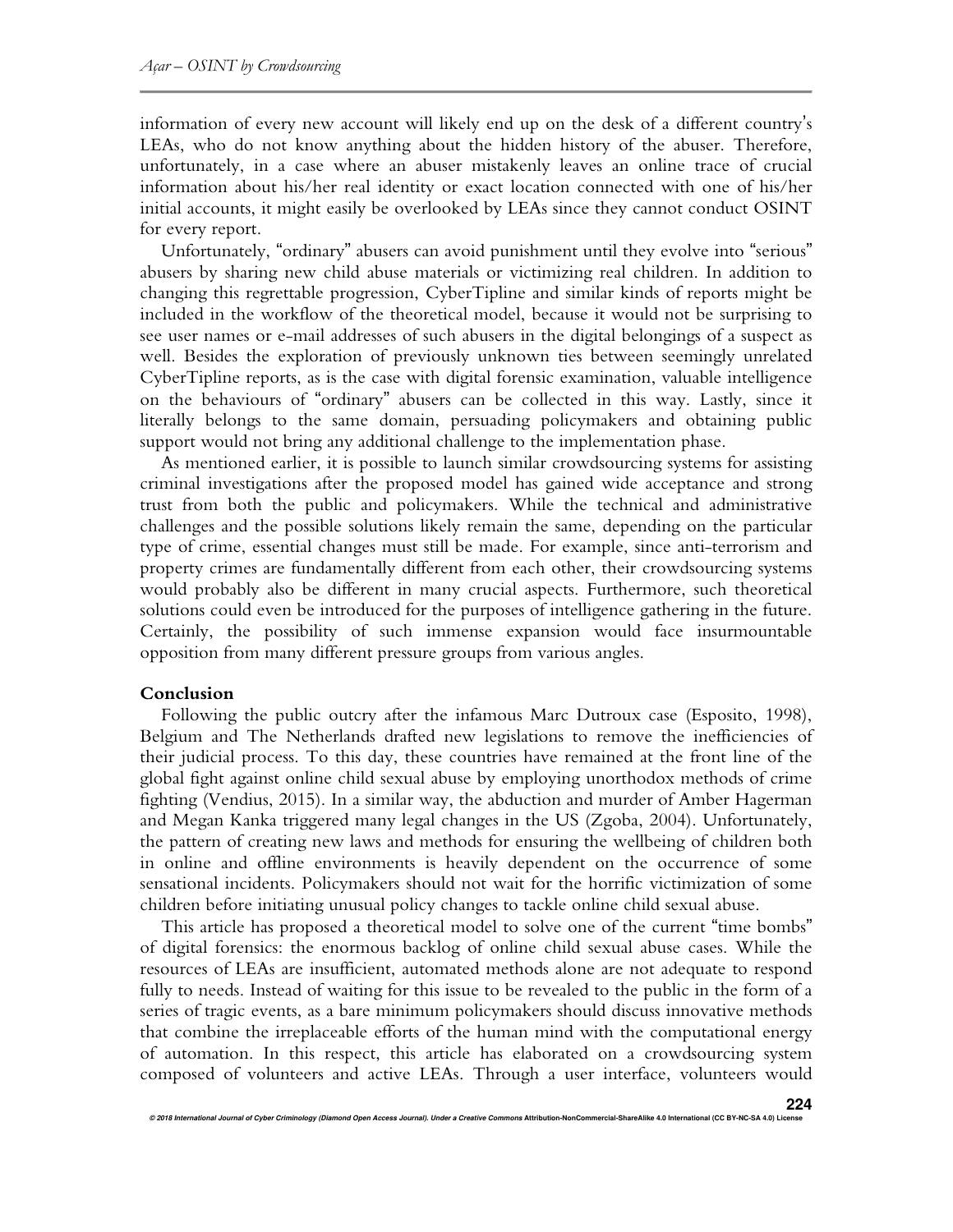information of every new account will likely end up on the desk of a different country's LEAs, who do not know anything about the hidden history of the abuser. Therefore, unfortunately, in a case where an abuser mistakenly leaves an online trace of crucial information about his/her real identity or exact location connected with one of his/her initial accounts, it might easily be overlooked by LEAs since they cannot conduct OSINT for every report.

Unfortunately, "ordinary" abusers can avoid punishment until they evolve into "serious" abusers by sharing new child abuse materials or victimizing real children. In addition to changing this regrettable progression, CyberTipline and similar kinds of reports might be included in the workflow of the theoretical model, because it would not be surprising to see user names or e-mail addresses of such abusers in the digital belongings of a suspect as well. Besides the exploration of previously unknown ties between seemingly unrelated CyberTipline reports, as is the case with digital forensic examination, valuable intelligence on the behaviours of "ordinary" abusers can be collected in this way. Lastly, since it literally belongs to the same domain, persuading policymakers and obtaining public support would not bring any additional challenge to the implementation phase.

As mentioned earlier, it is possible to launch similar crowdsourcing systems for assisting criminal investigations after the proposed model has gained wide acceptance and strong trust from both the public and policymakers. While the technical and administrative challenges and the possible solutions likely remain the same, depending on the particular type of crime, essential changes must still be made. For example, since anti-terrorism and property crimes are fundamentally different from each other, their crowdsourcing systems would probably also be different in many crucial aspects. Furthermore, such theoretical solutions could even be introduced for the purposes of intelligence gathering in the future. Certainly, the possibility of such immense expansion would face insurmountable opposition from many different pressure groups from various angles.

#### **Conclusion**

Following the public outcry after the infamous Marc Dutroux case (Esposito, 1998), Belgium and The Netherlands drafted new legislations to remove the inefficiencies of their judicial process. To this day, these countries have remained at the front line of the global fight against online child sexual abuse by employing unorthodox methods of crime fighting (Vendius, 2015). In a similar way, the abduction and murder of Amber Hagerman and Megan Kanka triggered many legal changes in the US (Zgoba, 2004). Unfortunately, the pattern of creating new laws and methods for ensuring the wellbeing of children both in online and offline environments is heavily dependent on the occurrence of some sensational incidents. Policymakers should not wait for the horrific victimization of some children before initiating unusual policy changes to tackle online child sexual abuse.

This article has proposed a theoretical model to solve one of the current "time bombs" of digital forensics: the enormous backlog of online child sexual abuse cases. While the resources of LEAs are insufficient, automated methods alone are not adequate to respond fully to needs. Instead of waiting for this issue to be revealed to the public in the form of a series of tragic events, as a bare minimum policymakers should discuss innovative methods that combine the irreplaceable efforts of the human mind with the computational energy of automation. In this respect, this article has elaborated on a crowdsourcing system composed of volunteers and active LEAs. Through a user interface, volunteers would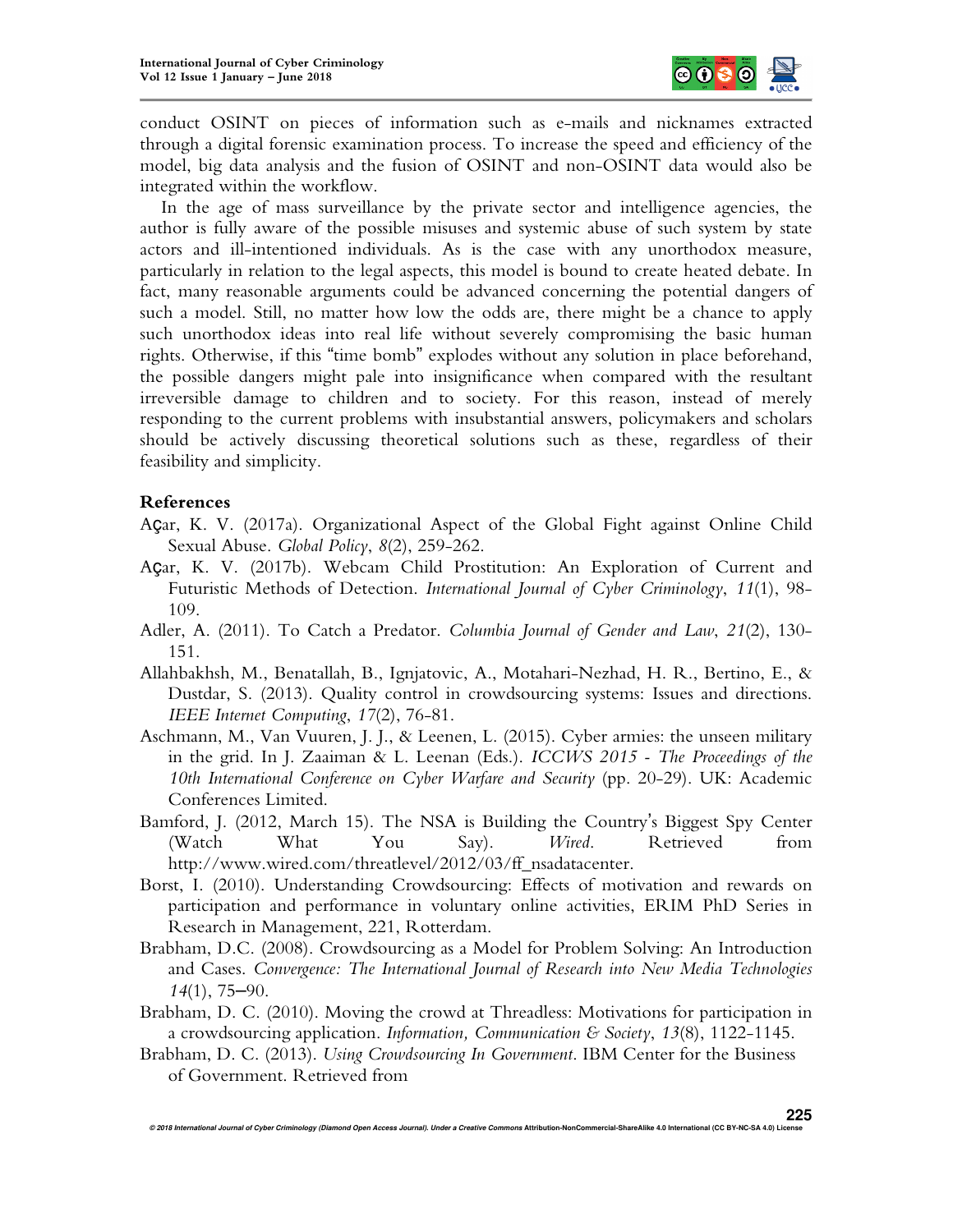

conduct OSINT on pieces of information such as e-mails and nicknames extracted through a digital forensic examination process. To increase the speed and efficiency of the model, big data analysis and the fusion of OSINT and non-OSINT data would also be integrated within the workflow.

In the age of mass surveillance by the private sector and intelligence agencies, the author is fully aware of the possible misuses and systemic abuse of such system by state actors and ill-intentioned individuals. As is the case with any unorthodox measure, particularly in relation to the legal aspects, this model is bound to create heated debate. In fact, many reasonable arguments could be advanced concerning the potential dangers of such a model. Still, no matter how low the odds are, there might be a chance to apply such unorthodox ideas into real life without severely compromising the basic human rights. Otherwise, if this "time bomb" explodes without any solution in place beforehand, the possible dangers might pale into insignificance when compared with the resultant irreversible damage to children and to society. For this reason, instead of merely responding to the current problems with insubstantial answers, policymakers and scholars should be actively discussing theoretical solutions such as these, regardless of their feasibility and simplicity.

### **References**

- Açar, K. V. (2017a). Organizational Aspect of the Global Fight against Online Child Sexual Abuse. *Global Policy*, *8*(2), 259-262.
- Açar, K. V. (2017b). Webcam Child Prostitution: An Exploration of Current and Futuristic Methods of Detection. *International Journal of Cyber Criminology*, *11*(1), 98- 109.
- Adler, A. (2011). To Catch a Predator. *Columbia Journal of Gender and Law*, *21*(2), 130- 151.
- Allahbakhsh, M., Benatallah, B., Ignjatovic, A., Motahari-Nezhad, H. R., Bertino, E., & Dustdar, S. (2013). Quality control in crowdsourcing systems: Issues and directions. *IEEE Internet Computing*, *17*(2), 76-81.
- Aschmann, M., Van Vuuren, J. J., & Leenen, L. (2015). Cyber armies: the unseen military in the grid. In J. Zaaiman & L. Leenan (Eds.). *ICCWS 2015 - The Proceedings of the 10th International Conference on Cyber Warfare and Security* (pp. 20-29). UK: Academic Conferences Limited.
- Bamford, J. (2012, March 15). The NSA is Building the Country's Biggest Spy Center (Watch What You Say). *Wired*. Retrieved from http://www.wired.com/threatlevel/2012/03/ff\_nsadatacenter.
- Borst, I. (2010). Understanding Crowdsourcing: Effects of motivation and rewards on participation and performance in voluntary online activities, ERIM PhD Series in Research in Management, 221, Rotterdam.
- Brabham, D.C. (2008). Crowdsourcing as a Model for Problem Solving: An Introduction and Cases. *Convergence: The International Journal of Research into New Media Technologies 14*(1), 75–90.
- Brabham, D. C. (2010). Moving the crowd at Threadless: Motivations for participation in a crowdsourcing application. *Information, Communication & Society*, *13*(8), 1122-1145.
- Brabham, D. C. (2013). *Using Crowdsourcing In Government*. IBM Center for the Business of Government. Retrieved from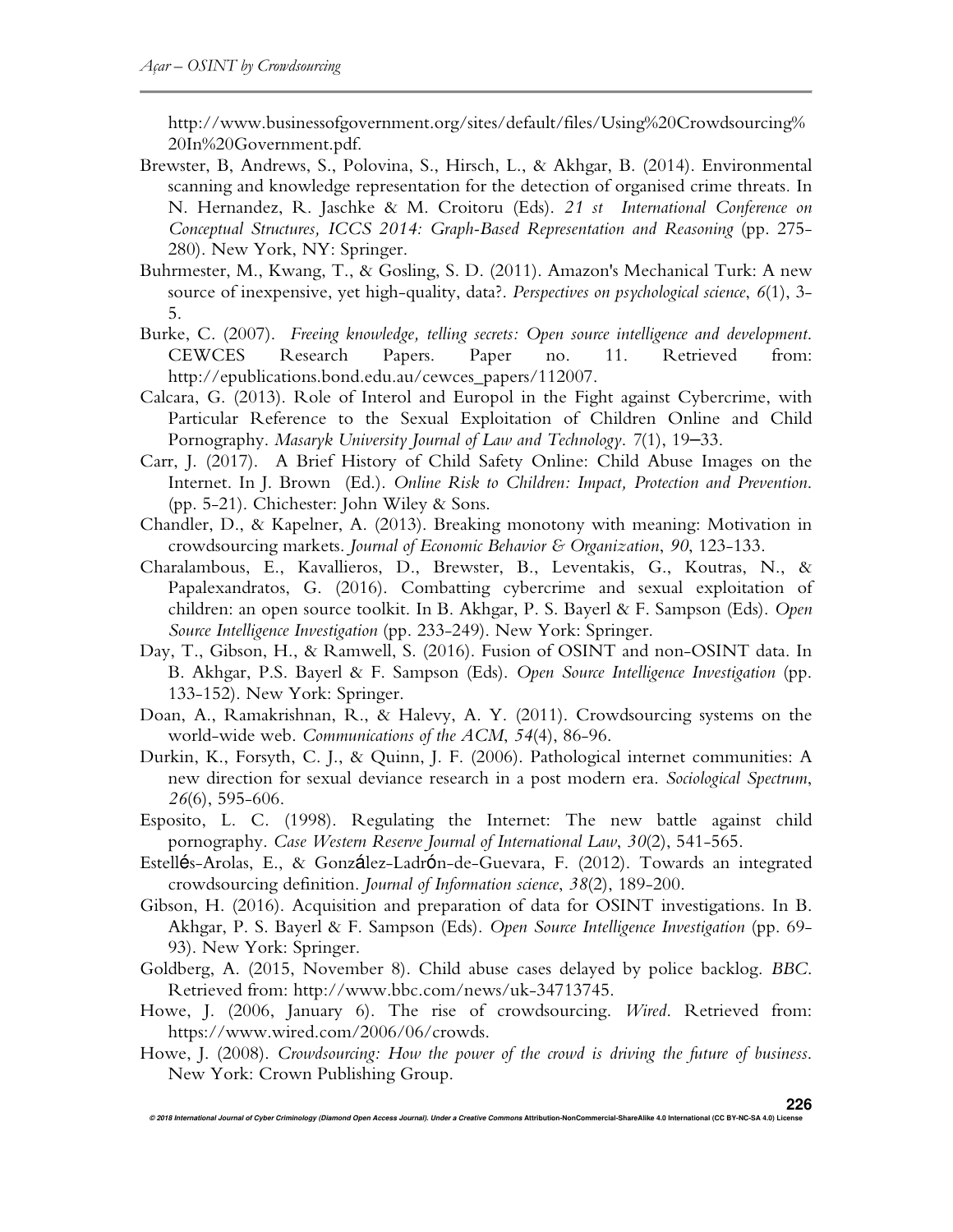http://www.businessofgovernment.org/sites/default/files/Using%20Crowdsourcing% 20In%20Government.pdf.

- Brewster, B, Andrews, S., Polovina, S., Hirsch, L., & Akhgar, B. (2014). Environmental scanning and knowledge representation for the detection of organised crime threats*.* In N. Hernandez, R. Jaschke & M. Croitoru (Eds). *21 st International Conference on Conceptual Structures, ICCS 2014: Graph-Based Representation and Reasoning* (pp. 275- 280). New York, NY: Springer.
- Buhrmester, M., Kwang, T., & Gosling, S. D. (2011). Amazon's Mechanical Turk: A new source of inexpensive, yet high-quality, data?. *Perspectives on psychological science*, *6*(1), 3- 5.
- Burke, C. (2007). *Freeing knowledge, telling secrets: Open source intelligence and development*. CEWCES Research Papers. Paper no. 11. Retrieved from: http://epublications.bond.edu.au/cewces\_papers/112007.
- Calcara, G. (2013). Role of Interol and Europol in the Fight against Cybercrime, with Particular Reference to the Sexual Exploitation of Children Online and Child Pornography. *Masaryk University Journal of Law and Technology*. *7*(1), 19–33.
- Carr, J. (2017). A Brief History of Child Safety Online: Child Abuse Images on the Internet. In J. Brown (Ed.). *Online Risk to Children: Impact, Protection and Prevention*. (pp. 5-21). Chichester: John Wiley & Sons.
- Chandler, D., & Kapelner, A. (2013). Breaking monotony with meaning: Motivation in crowdsourcing markets. *Journal of Economic Behavior & Organization*, *90*, 123-133.
- Charalambous, E., Kavallieros, D., Brewster, B., Leventakis, G., Koutras, N., & Papalexandratos, G. (2016). Combatting cybercrime and sexual exploitation of children: an open source toolkit. In B. Akhgar, P. S. Bayerl & F. Sampson (Eds). *Open Source Intelligence Investigation* (pp. 233-249). New York: Springer.
- Day, T., Gibson, H., & Ramwell, S. (2016). Fusion of OSINT and non-OSINT data. In B. Akhgar, P.S. Bayerl & F. Sampson (Eds). *Open Source Intelligence Investigation* (pp. 133-152). New York: Springer.
- Doan, A., Ramakrishnan, R., & Halevy, A. Y. (2011). Crowdsourcing systems on the world-wide web. *Communications of the ACM*, *54*(4), 86-96.
- Durkin, K., Forsyth, C. J., & Quinn, J. F. (2006). Pathological internet communities: A new direction for sexual deviance research in a post modern era. *Sociological Spectrum*, *26*(6), 595-606.
- Esposito, L. C. (1998). Regulating the Internet: The new battle against child pornography. *Case Western Reserve Journal of International Law*, *30*(2), 541-565.
- Estellés-Arolas, E., & González-Ladrón-de-Guevara, F. (2012). Towards an integrated crowdsourcing definition. *Journal of Information science*, *38*(2), 189-200.
- Gibson, H. (2016). Acquisition and preparation of data for OSINT investigations. In B. Akhgar, P. S. Bayerl & F. Sampson (Eds). *Open Source Intelligence Investigation* (pp. 69- 93). New York: Springer.
- Goldberg, A. (2015, November 8). Child abuse cases delayed by police backlog. *BBC*. Retrieved from: http://www.bbc.com/news/uk-34713745.
- Howe, J. (2006, January 6). The rise of crowdsourcing. *Wired*. Retrieved from: https://www.wired.com/2006/06/crowds.
- Howe, J. (2008). *Crowdsourcing: How the power of the crowd is driving the future of business*. New York: Crown Publishing Group.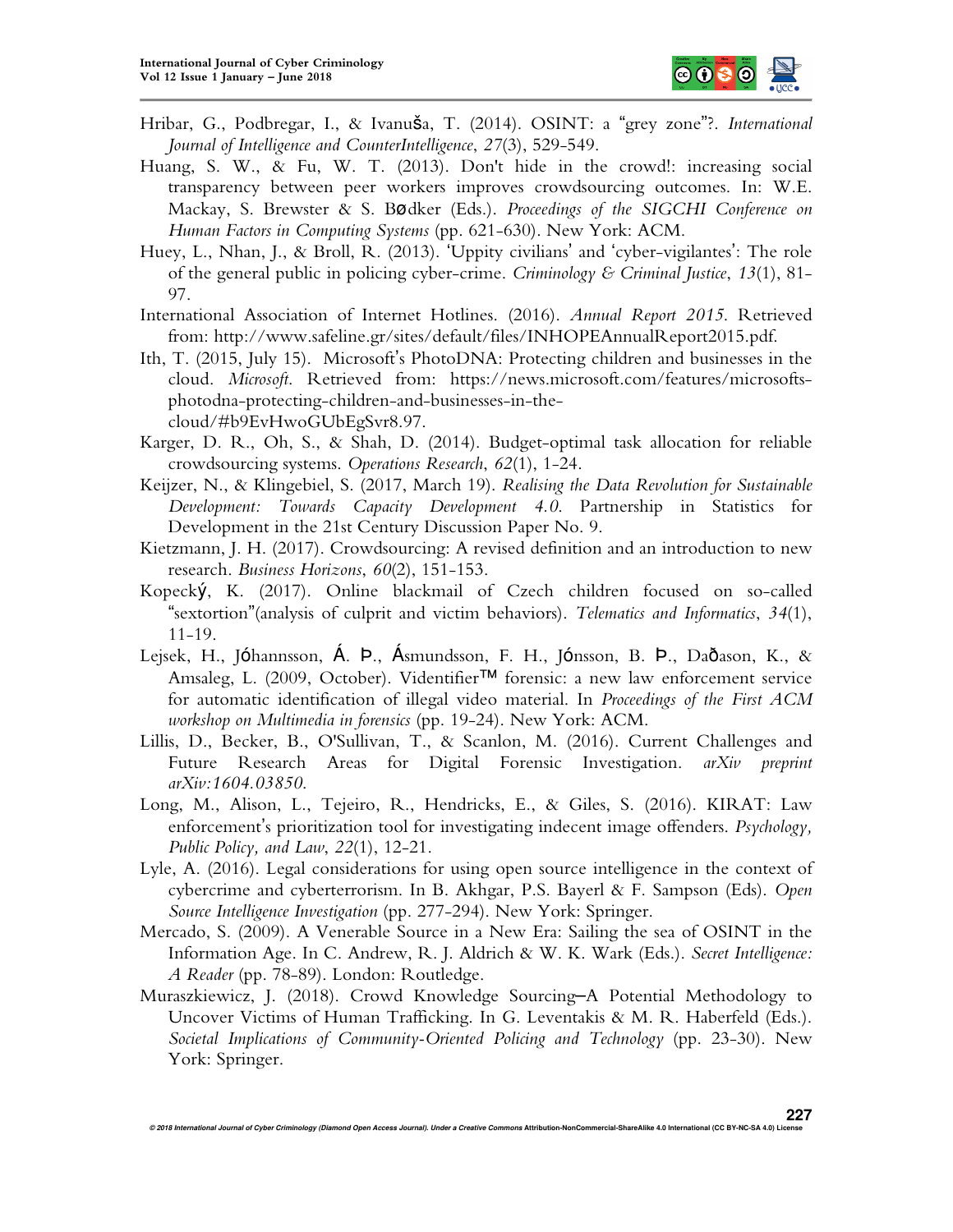

- Hribar, G., Podbregar, I., & Ivanuša, T. (2014). OSINT: a "grey zone"?. *International Journal of Intelligence and CounterIntelligence*, *27*(3), 529-549.
- Huang, S. W., & Fu, W. T. (2013). Don't hide in the crowd!: increasing social transparency between peer workers improves crowdsourcing outcomes. In: W.E. Mackay, S. Brewster & S. Bødker (Eds.). *Proceedings of the SIGCHI Conference on Human Factors in Computing Systems* (pp. 621-630). New York: ACM.
- Huey, L., Nhan, J., & Broll, R. (2013). 'Uppity civilians' and 'cyber-vigilantes': The role of the general public in policing cyber-crime. *Criminology & Criminal Justice*, *13*(1), 81- 97.
- International Association of Internet Hotlines. (2016). *Annual Report 2015*. Retrieved from: http://www.safeline.gr/sites/default/files/INHOPEAnnualReport2015.pdf.
- Ith, T. (2015, July 15). Microsoft's PhotoDNA: Protecting children and businesses in the cloud. *Microsoft*. Retrieved from: https://news.microsoft.com/features/microsoftsphotodna-protecting-children-and-businesses-in-thecloud/#b9EvHwoGUbEgSvr8.97.
- Karger, D. R., Oh, S., & Shah, D. (2014). Budget-optimal task allocation for reliable crowdsourcing systems. *Operations Research*, *62*(1), 1-24.
- Keijzer, N., & Klingebiel, S. (2017, March 19). *Realising the Data Revolution for Sustainable Development: Towards Capacity Development 4.0*. Partnership in Statistics for Development in the 21st Century Discussion Paper No. 9.
- Kietzmann, J. H. (2017). Crowdsourcing: A revised definition and an introduction to new research. *Business Horizons*, *60*(2), 151-153.
- Kopecký, K. (2017). Online blackmail of Czech children focused on so-called "sextortion"(analysis of culprit and victim behaviors). *Telematics and Informatics*, *34*(1), 11-19.
- Lejsek, H., Jóhannsson, Á. Þ., Ásmundsson, F. H., Jónsson, B. Þ., Daðason, K., & Amsaleg, L. (2009, October). Videntifier™ forensic: a new law enforcement service for automatic identification of illegal video material. In *Proceedings of the First ACM workshop on Multimedia in forensics* (pp. 19-24). New York: ACM.
- Lillis, D., Becker, B., O'Sullivan, T., & Scanlon, M. (2016). Current Challenges and Future Research Areas for Digital Forensic Investigation. *arXiv preprint arXiv:1604.03850*.
- Long, M., Alison, L., Tejeiro, R., Hendricks, E., & Giles, S. (2016). KIRAT: Law enforcement's prioritization tool for investigating indecent image offenders. *Psychology, Public Policy, and Law*, *22*(1), 12-21.
- Lyle, A. (2016). Legal considerations for using open source intelligence in the context of cybercrime and cyberterrorism. In B. Akhgar, P.S. Bayerl & F. Sampson (Eds). *Open Source Intelligence Investigation* (pp. 277-294). New York: Springer.
- Mercado, S. (2009). A Venerable Source in a New Era: Sailing the sea of OSINT in the Information Age. In C. Andrew, R. J. Aldrich & W. K. Wark (Eds.). *Secret Intelligence: A Reader* (pp. 78-89). London: Routledge.
- Muraszkiewicz, J. (2018). Crowd Knowledge Sourcing–A Potential Methodology to Uncover Victims of Human Trafficking. In G. Leventakis & M. R. Haberfeld (Eds.). *Societal Implications of Community-Oriented Policing and Technology* (pp. 23-30). New York: Springer.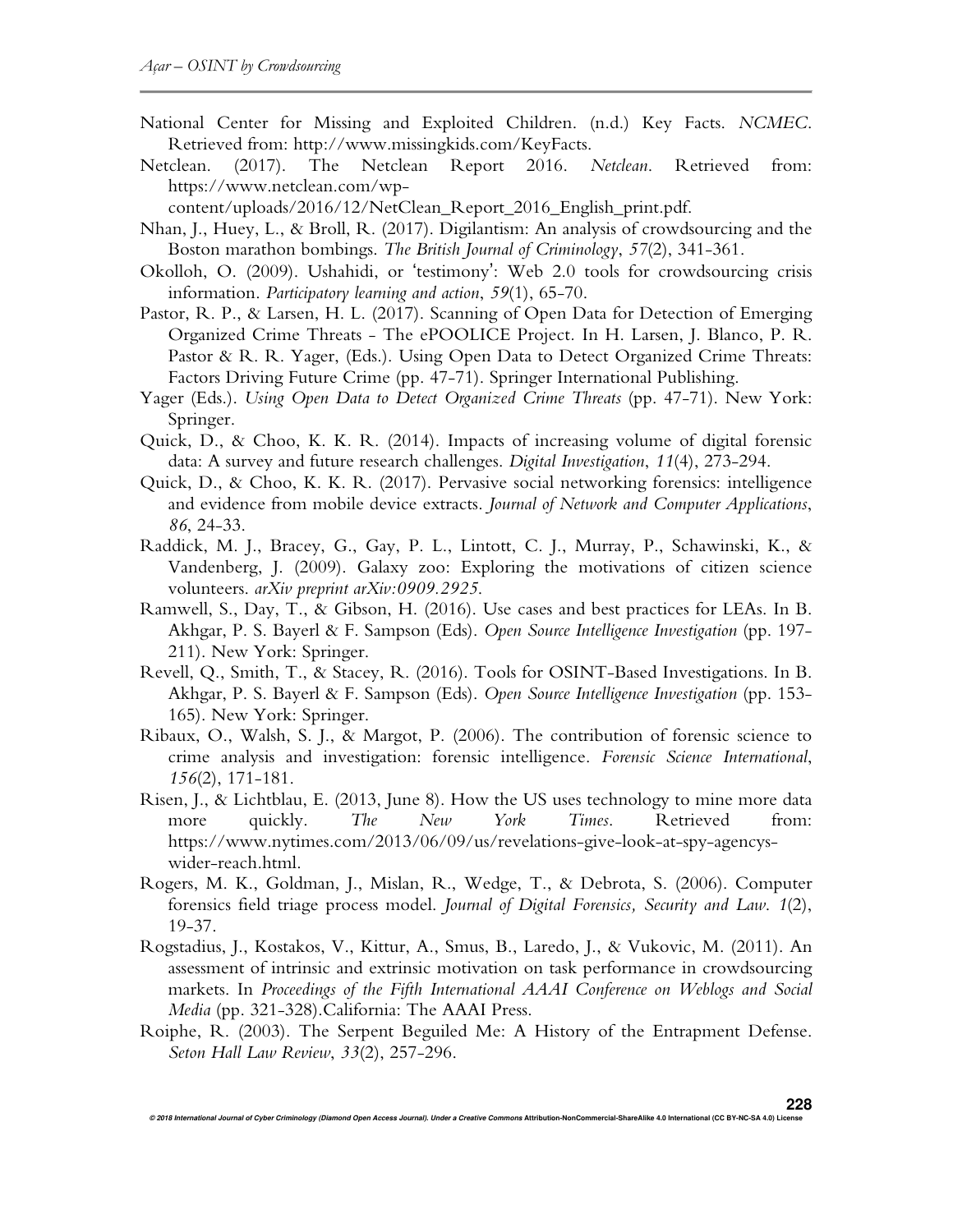- National Center for Missing and Exploited Children. (n.d.) Key Facts. *NCMEC*. Retrieved from: http://www.missingkids.com/KeyFacts.
- Netclean. (2017). The Netclean Report 2016. *Netclean*. Retrieved from: https://www.netclean.com/wp-

content/uploads/2016/12/NetClean\_Report\_2016\_English\_print.pdf.

- Nhan, J., Huey, L., & Broll, R. (2017). Digilantism: An analysis of crowdsourcing and the Boston marathon bombings. *The British Journal of Criminology*, *57*(2), 341-361.
- Okolloh, O. (2009). Ushahidi, or 'testimony': Web 2.0 tools for crowdsourcing crisis information. *Participatory learning and action*, *59*(1), 65-70.
- Pastor, R. P., & Larsen, H. L. (2017). Scanning of Open Data for Detection of Emerging Organized Crime Threats - The ePOOLICE Project*.* In H. Larsen, J. Blanco, P. R. Pastor & R. R. Yager, (Eds.). Using Open Data to Detect Organized Crime Threats: Factors Driving Future Crime (pp. 47-71). Springer International Publishing.
- Yager (Eds.). *Using Open Data to Detect Organized Crime Threats* (pp. 47-71). New York: Springer.
- Quick, D., & Choo, K. K. R. (2014). Impacts of increasing volume of digital forensic data: A survey and future research challenges. *Digital Investigation*, *11*(4), 273-294.
- Quick, D., & Choo, K. K. R. (2017). Pervasive social networking forensics: intelligence and evidence from mobile device extracts. *Journal of Network and Computer Applications*, *86*, 24-33.
- Raddick, M. J., Bracey, G., Gay, P. L., Lintott, C. J., Murray, P., Schawinski, K., & Vandenberg, J. (2009). Galaxy zoo: Exploring the motivations of citizen science volunteers. *arXiv preprint arXiv:0909.2925*.
- Ramwell, S., Day, T., & Gibson, H. (2016). Use cases and best practices for LEAs. In B. Akhgar, P. S. Bayerl & F. Sampson (Eds). *Open Source Intelligence Investigation* (pp. 197- 211). New York: Springer.
- Revell, Q., Smith, T., & Stacey, R. (2016). Tools for OSINT-Based Investigations. In B. Akhgar, P. S. Bayerl & F. Sampson (Eds). *Open Source Intelligence Investigation* (pp. 153- 165). New York: Springer.
- Ribaux, O., Walsh, S. J., & Margot, P. (2006). The contribution of forensic science to crime analysis and investigation: forensic intelligence. *Forensic Science International*, *156*(2), 171-181.
- Risen, J., & Lichtblau, E. (2013, June 8). How the US uses technology to mine more data more quickly. *The New York Times*. Retrieved from: https://www.nytimes.com/2013/06/09/us/revelations-give-look-at-spy-agencyswider-reach.html.
- Rogers, M. K., Goldman, J., Mislan, R., Wedge, T., & Debrota, S. (2006). Computer forensics field triage process model. *Journal of Digital Forensics, Security and Law*. *1*(2), 19-37.
- Rogstadius, J., Kostakos, V., Kittur, A., Smus, B., Laredo, J., & Vukovic, M. (2011). An assessment of intrinsic and extrinsic motivation on task performance in crowdsourcing markets. In *Proceedings of the Fifth International AAAI Conference on Weblogs and Social Media* (pp. 321-328).California: The AAAI Press.
- Roiphe, R. (2003). The Serpent Beguiled Me: A History of the Entrapment Defense. *Seton Hall Law Review*, *33*(2), 257-296.